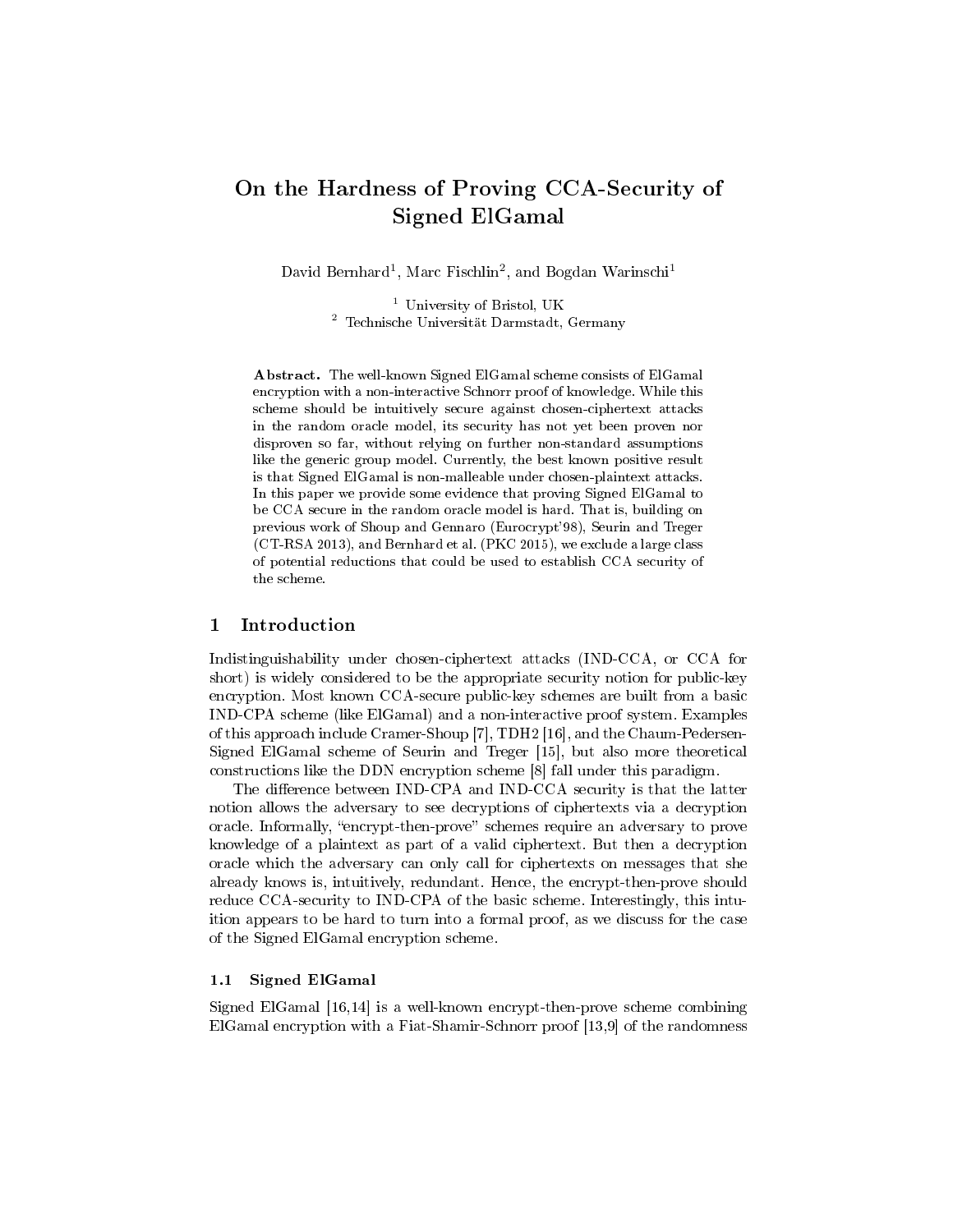# On the Hardness of Proving CCA-Security of Signed ElGamal

David Bernhard<sup>1</sup>, Marc Fischlin<sup>2</sup>, and Bogdan Warinschi<sup>1</sup>

<sup>1</sup> University of Bristol, UK <sup>2</sup> Technische Universität Darmstadt, Germany

Abstract. The well-known Signed ElGamal scheme consists of ElGamal encryption with a non-interactive Schnorr proof of knowledge. While this scheme should be intuitively secure against chosen-ciphertext attacks in the random oracle model, its security has not yet been proven nor disproven so far, without relying on further non-standard assumptions like the generic group model. Currently, the best known positive result is that Signed ElGamal is non-malleable under chosen-plaintext attacks. In this paper we provide some evidence that proving Signed ElGamal to be CCA secure in the random oracle model is hard. That is, building on previous work of Shoup and Gennaro (Eurocrypt'98), Seurin and Treger (CT-RSA 2013), and Bernhard et al. (PKC 2015), we exclude a large class of potential reductions that could be used to establish CCA security of the scheme.

## 1 Introduction

Indistinguishability under chosen-ciphertext attacks (IND-CCA, or CCA for short) is widely considered to be the appropriate security notion for public-key encryption. Most known CCA-secure public-key schemes are built from a basic IND-CPA scheme (like ElGamal) and a non-interactive proof system. Examples of this approach include Cramer-Shoup [\[7\]](#page-22-0), TDH2 [\[16\]](#page-23-0), and the Chaum-Pedersen-Signed ElGamal scheme of Seurin and Treger [\[15\]](#page-23-1), but also more theoretical constructions like the DDN encryption scheme [\[8\]](#page-22-1) fall under this paradigm.

The difference between IND-CPA and IND-CCA security is that the latter notion allows the adversary to see decryptions of ciphertexts via a decryption oracle. Informally, "encrypt-then-prove" schemes require an adversary to prove knowledge of a plaintext as part of a valid ciphertext. But then a decryption oracle which the adversary can only call for ciphertexts on messages that she already knows is, intuitively, redundant. Hence, the encrypt-then-prove should reduce CCA-security to IND-CPA of the basic scheme. Interestingly, this intuition appears to be hard to turn into a formal proof, as we discuss for the case of the Signed ElGamal encryption scheme.

### 1.1 Signed ElGamal

Signed ElGamal [\[16,](#page-23-0)[14\]](#page-23-2) is a well-known encrypt-then-prove scheme combining ElGamal encryption with a Fiat-Shamir-Schnorr proof [\[13](#page-23-3)[,9\]](#page-22-2) of the randomness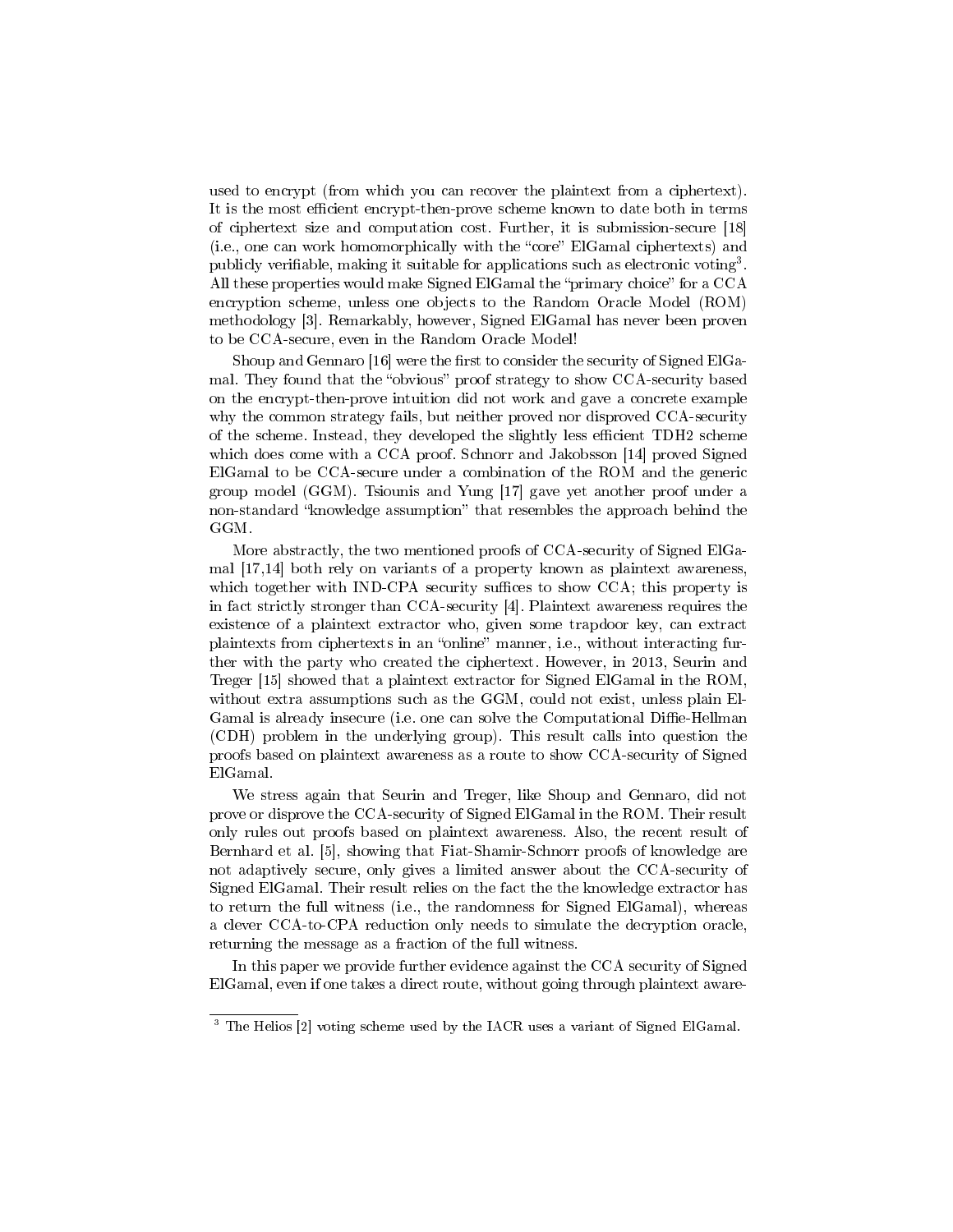used to encrypt (from which you can recover the plaintext from a ciphertext). It is the most efficient encrypt-then-prove scheme known to date both in terms of ciphertext size and computation cost. Further, it is submission-secure [\[18\]](#page-23-4) (i.e., one can work homomorphically with the "core" ElGamal ciphertexts) and publicly verifiable, making it suitable for applications such as electronic voting<sup>[3](#page-1-0)</sup>. All these properties would make Signed ElGamal the "primary choice" for a CCA encryption scheme, unless one objects to the Random Oracle Model (ROM) methodology [\[3\]](#page-22-3). Remarkably, however, Signed ElGamal has never been proven to be CCA-secure, even in the Random Oracle Model!

Shoup and Gennaro [\[16\]](#page-23-0) were the first to consider the security of Signed ElGamal. They found that the "obvious" proof strategy to show CCA-security based on the encrypt-then-prove intuition did not work and gave a concrete example why the common strategy fails, but neither proved nor disproved CCA-security of the scheme. Instead, they developed the slightly less efficient TDH2 scheme which does come with a CCA proof. Schnorr and Jakobsson [\[14\]](#page-23-2) proved Signed ElGamal to be CCA-secure under a combination of the ROM and the generic group model (GGM). Tsiounis and Yung [\[17\]](#page-23-5) gave yet another proof under a non-standard "knowledge assumption" that resembles the approach behind the GGM.

More abstractly, the two mentioned proofs of CCA-security of Signed ElGamal [\[17,](#page-23-5)[14\]](#page-23-2) both rely on variants of a property known as plaintext awareness, which together with IND-CPA security suffices to show CCA; this property is in fact strictly stronger than CCA-security [\[4\]](#page-22-4). Plaintext awareness requires the existence of a plaintext extractor who, given some trapdoor key, can extract plaintexts from ciphertexts in an "online" manner, i.e., without interacting further with the party who created the ciphertext. However, in 2013, Seurin and Treger [\[15\]](#page-23-1) showed that a plaintext extractor for Signed ElGamal in the ROM, without extra assumptions such as the GGM, could not exist, unless plain El-Gamal is already insecure (i.e. one can solve the Computational Diffie-Hellman (CDH) problem in the underlying group). This result calls into question the proofs based on plaintext awareness as a route to show CCA-security of Signed ElGamal.

We stress again that Seurin and Treger, like Shoup and Gennaro, did not prove or disprove the CCA-security of Signed ElGamal in the ROM. Their result only rules out proofs based on plaintext awareness. Also, the recent result of Bernhard et al. [\[5\]](#page-22-5), showing that Fiat-Shamir-Schnorr proofs of knowledge are not adaptively secure, only gives a limited answer about the CCA-security of Signed ElGamal. Their result relies on the fact the the knowledge extractor has to return the full witness (i.e., the randomness for Signed ElGamal), whereas a clever CCA-to-CPA reduction only needs to simulate the decryption oracle, returning the message as a fraction of the full witness.

In this paper we provide further evidence against the CCA security of Signed ElGamal, even if one takes a direct route, without going through plaintext aware-

<span id="page-1-0"></span><sup>3</sup> The Helios [\[2\]](#page-22-6) voting scheme used by the IACR uses a variant of Signed ElGamal.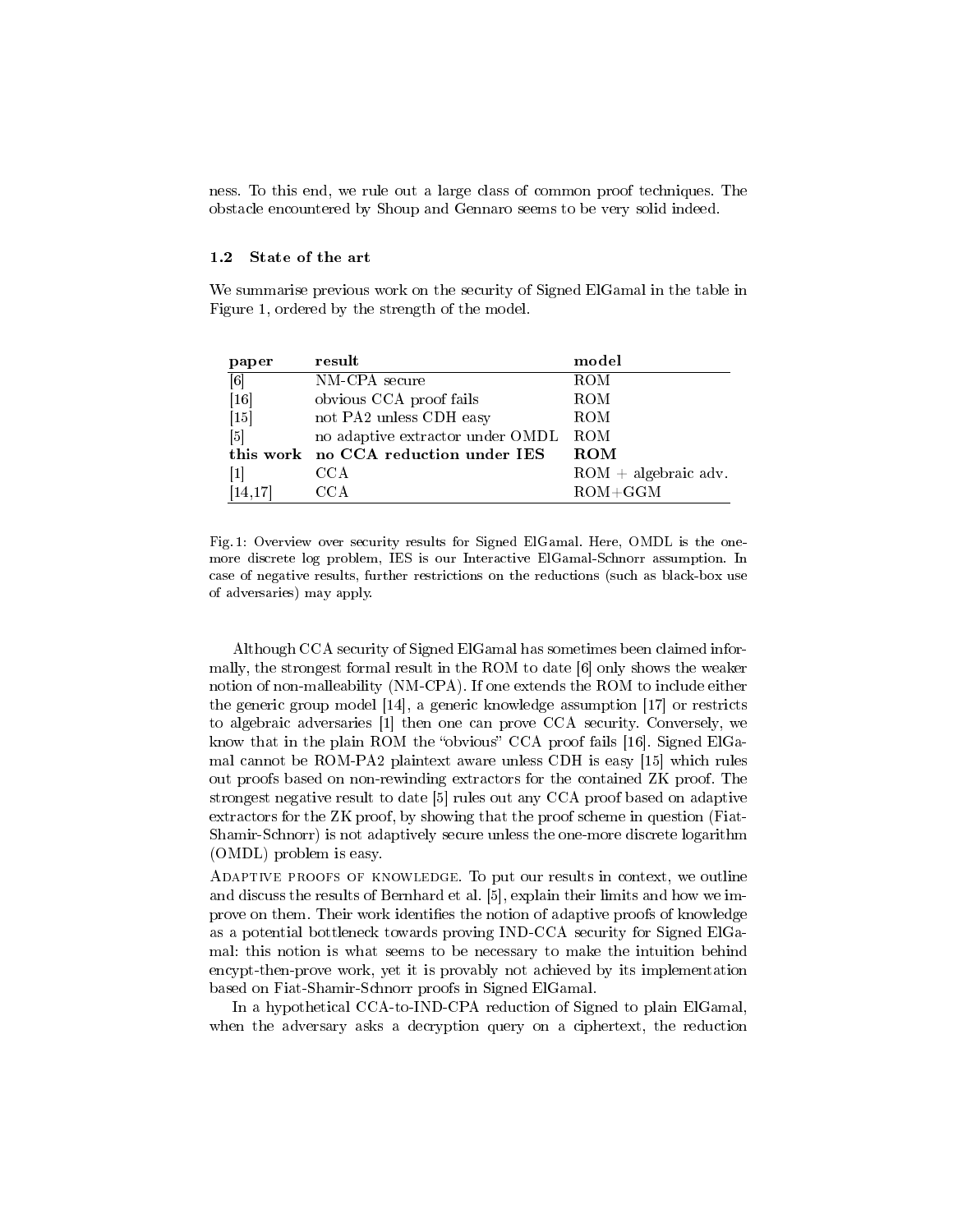ness. To this end, we rule out a large class of common proof techniques. The obstacle encountered by Shoup and Gennaro seems to be very solid indeed.

#### 1.2 State of the art

We summarise previous work on the security of Signed ElGamal in the table in Figure [1,](#page-2-0) ordered by the strength of the model.

<span id="page-2-0"></span>

| paper          | result                               | model                  |
|----------------|--------------------------------------|------------------------|
| $\overline{6}$ | NM-CPA secure                        | ROM                    |
| [16]           | obvious CCA proof fails              | ROM                    |
| [15]           | not PA2 unless CDH easy              | ROM                    |
| [5]            | no adaptive extractor under OMDL     | ROM                    |
|                | this work no CCA reduction under IES | <b>ROM</b>             |
|                | CCA                                  | $ROM + algebraic$ adv. |
| [14, 17]       | CCA                                  | $ROM + GGM$            |

Fig. 1: Overview over security results for Signed ElGamal. Here, OMDL is the onemore discrete log problem, IES is our Interactive ElGamal-Schnorr assumption. In case of negative results, further restrictions on the reductions (such as black-box use of adversaries) may apply.

Although CCA security of Signed ElGamal has sometimes been claimed informally, the strongest formal result in the ROM to date [\[6\]](#page-22-7) only shows the weaker notion of non-malleability (NM-CPA). If one extends the ROM to include either the generic group model [\[14\]](#page-23-2), a generic knowledge assumption [\[17\]](#page-23-5) or restricts to algebraic adversaries [\[1\]](#page-22-8) then one can prove CCA security. Conversely, we know that in the plain ROM the "obvious" CCA proof fails  $[16]$ . Signed ElGamal cannot be ROM-PA2 plaintext aware unless CDH is easy [\[15\]](#page-23-1) which rules out proofs based on non-rewinding extractors for the contained ZK proof. The strongest negative result to date [\[5\]](#page-22-5) rules out any CCA proof based on adaptive extractors for the ZK proof, by showing that the proof scheme in question (Fiat-Shamir-Schnorr) is not adaptively secure unless the one-more discrete logarithm (OMDL) problem is easy.

Adaptive proofs of knowledge. To put our results in context, we outline and discuss the results of Bernhard et al. [\[5\]](#page-22-5), explain their limits and how we improve on them. Their work identifies the notion of adaptive proofs of knowledge as a potential bottleneck towards proving IND-CCA security for Signed ElGamal: this notion is what seems to be necessary to make the intuition behind encypt-then-prove work, yet it is provably not achieved by its implementation based on Fiat-Shamir-Schnorr proofs in Signed ElGamal.

In a hypothetical CCA-to-IND-CPA reduction of Signed to plain ElGamal, when the adversary asks a decryption query on a ciphertext, the reduction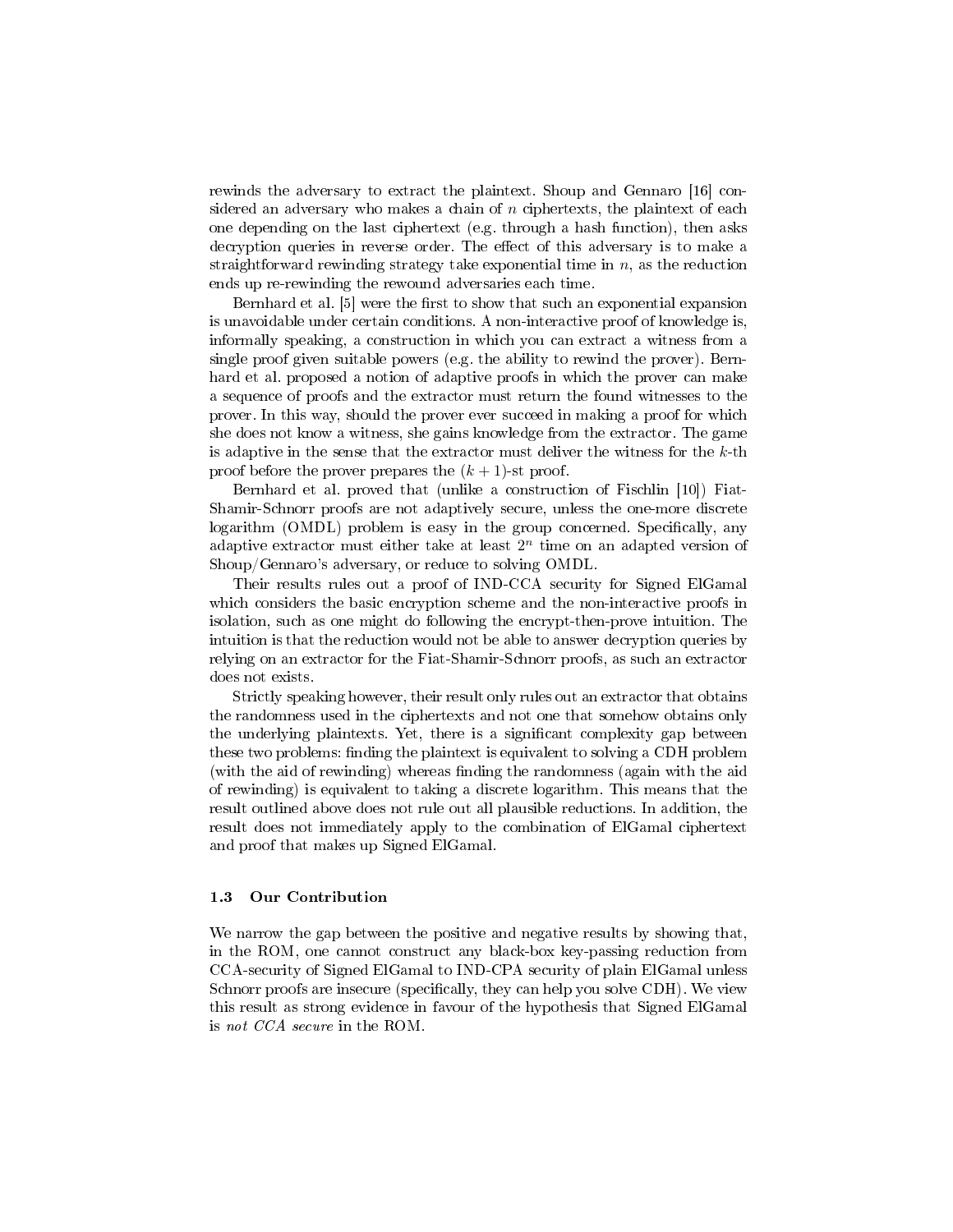rewinds the adversary to extract the plaintext. Shoup and Gennaro [\[16\]](#page-23-0) considered an adversary who makes a chain of  $n$  ciphertexts, the plaintext of each one depending on the last ciphertext (e.g. through a hash function), then asks decryption queries in reverse order. The effect of this adversary is to make a straightforward rewinding strategy take exponential time in  $n$ , as the reduction ends up re-rewinding the rewound adversaries each time.

Bernhard et al. [\[5\]](#page-22-5) were the first to show that such an exponential expansion is unavoidable under certain conditions. A non-interactive proof of knowledge is, informally speaking, a construction in which you can extract a witness from a single proof given suitable powers (e.g. the ability to rewind the prover). Bernhard et al. proposed a notion of adaptive proofs in which the prover can make a sequence of proofs and the extractor must return the found witnesses to the prover. In this way, should the prover ever succeed in making a proof for which she does not know a witness, she gains knowledge from the extractor. The game is adaptive in the sense that the extractor must deliver the witness for the  $k$ -th proof before the prover prepares the  $(k + 1)$ -st proof.

Bernhard et al. proved that (unlike a construction of Fischlin [\[10\]](#page-22-9)) Fiat-Shamir-Schnorr proofs are not adaptively secure, unless the one-more discrete logarithm (OMDL) problem is easy in the group concerned. Specifically, any adaptive extractor must either take at least  $2^n$  time on an adapted version of Shoup/Gennaro's adversary, or reduce to solving OMDL.

Their results rules out a proof of IND-CCA security for Signed ElGamal which considers the basic encryption scheme and the non-interactive proofs in isolation, such as one might do following the encrypt-then-prove intuition. The intuition is that the reduction would not be able to answer decryption queries by relying on an extractor for the Fiat-Shamir-Schnorr proofs, as such an extractor does not exists.

Strictly speaking however, their result only rules out an extractor that obtains the randomness used in the ciphertexts and not one that somehow obtains only the underlying plaintexts. Yet, there is a significant complexity gap between these two problems: finding the plaintext is equivalent to solving a CDH problem (with the aid of rewinding) whereas finding the randomness (again with the aid of rewinding) is equivalent to taking a discrete logarithm. This means that the result outlined above does not rule out all plausible reductions. In addition, the result does not immediately apply to the combination of ElGamal ciphertext and proof that makes up Signed ElGamal.

# 1.3 Our Contribution

We narrow the gap between the positive and negative results by showing that, in the ROM, one cannot construct any black-box key-passing reduction from CCA-security of Signed ElGamal to IND-CPA security of plain ElGamal unless Schnorr proofs are insecure (specifically, they can help you solve CDH). We view this result as strong evidence in favour of the hypothesis that Signed ElGamal is not CCA secure in the ROM.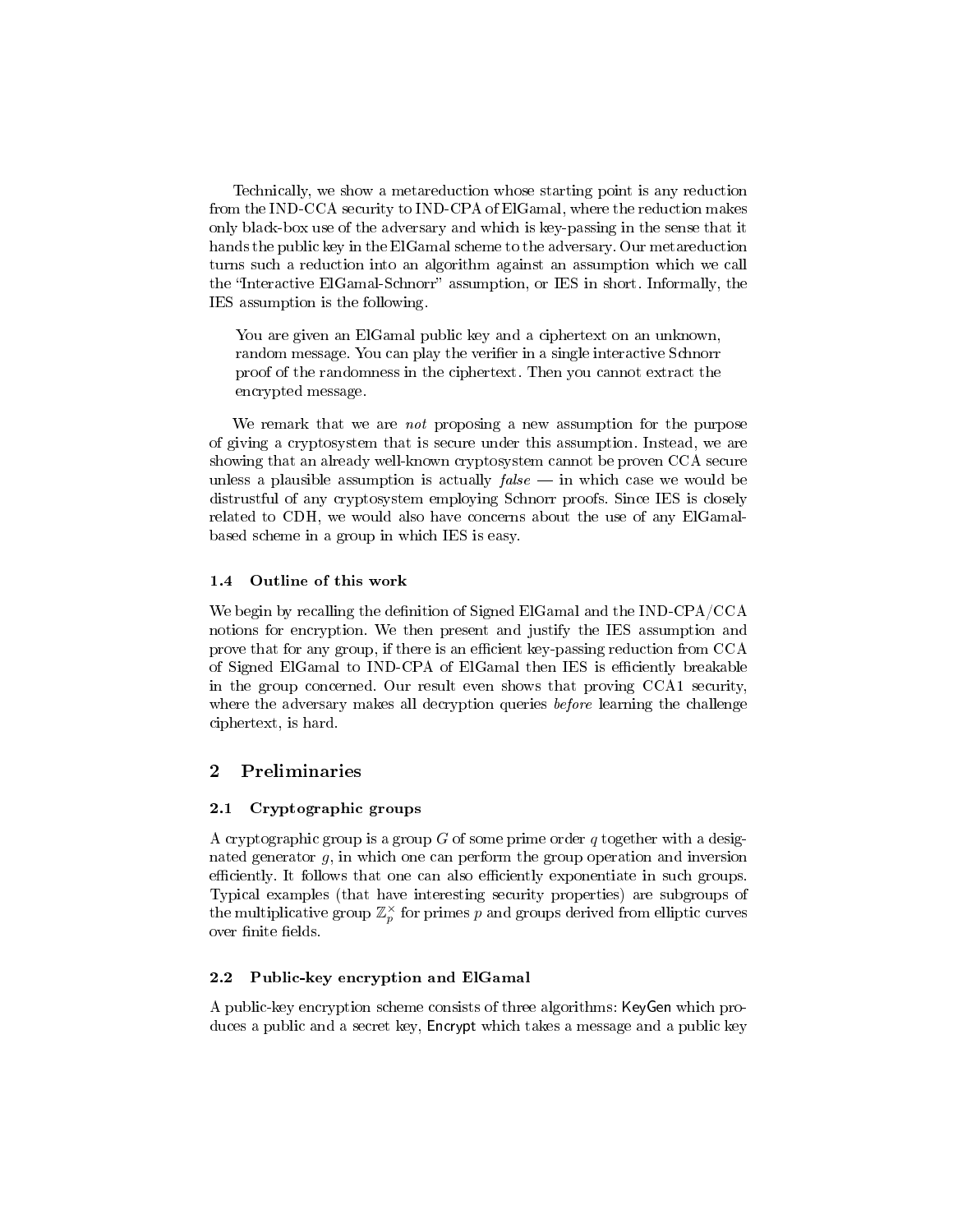Technically, we show a metareduction whose starting point is any reduction from the IND-CCA security to IND-CPA of ElGamal, where the reduction makes only black-box use of the adversary and which is key-passing in the sense that it hands the public key in the ElGamal scheme to the adversary. Our metareduction turns such a reduction into an algorithm against an assumption which we call the "Interactive ElGamal-Schnorr" assumption, or IES in short. Informally, the IES assumption is the following.

You are given an ElGamal public key and a ciphertext on an unknown, random message. You can play the verifier in a single interactive Schnorr proof of the randomness in the ciphertext. Then you cannot extract the encrypted message.

We remark that we are *not* proposing a new assumption for the purpose of giving a cryptosystem that is secure under this assumption. Instead, we are showing that an already well-known cryptosystem cannot be proven CCA secure unless a plausible assumption is actually  $false$  – in which case we would be distrustful of any cryptosystem employing Schnorr proofs. Since IES is closely related to CDH, we would also have concerns about the use of any ElGamalbased scheme in a group in which IES is easy.

## 1.4 Outline of this work

We begin by recalling the definition of Signed ElGamal and the  $IND-CPA/CCA$ notions for encryption. We then present and justify the IES assumption and prove that for any group, if there is an efficient key-passing reduction from CCA of Signed ElGamal to IND-CPA of ElGamal then IES is efficiently breakable in the group concerned. Our result even shows that proving CCA1 security, where the adversary makes all decryption queries *before* learning the challenge ciphertext, is hard.

# 2 Preliminaries

## 2.1 Cryptographic groups

A cryptographic group is a group  $G$  of some prime order  $q$  together with a designated generator  $g$ , in which one can perform the group operation and inversion efficiently. It follows that one can also efficiently exponentiate in such groups. Typical examples (that have interesting security properties) are subgroups of the multiplicative group  $\mathbb{Z}_p^{\times}$  for primes  $p$  and groups derived from elliptic curves over finite fields.

## 2.2 Public-key encryption and ElGamal

A public-key encryption scheme consists of three algorithms: KeyGen which produces a public and a secret key, Encrypt which takes a message and a public key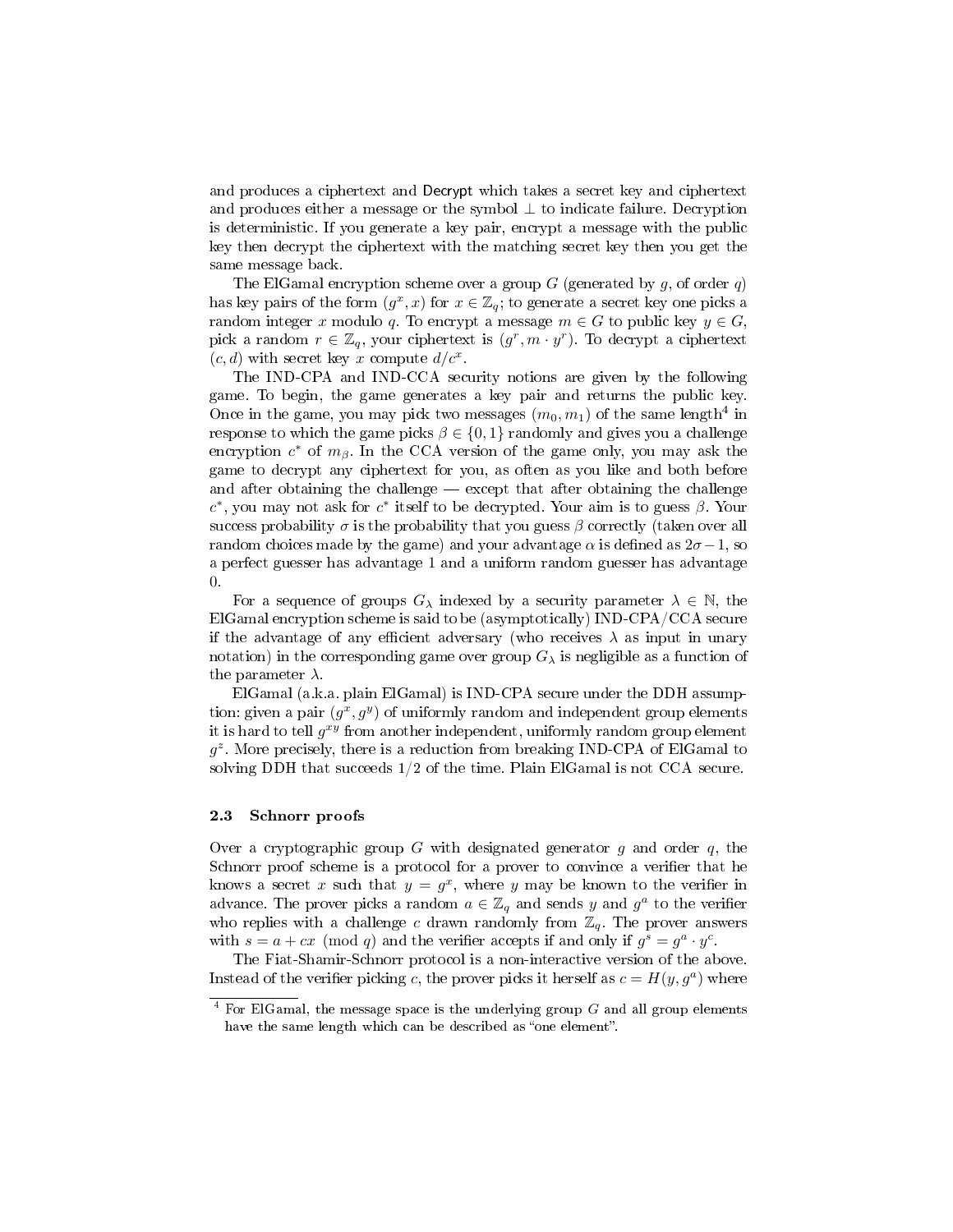and produces a ciphertext and Decrypt which takes a secret key and ciphertext and produces either a message or the symbol  $\perp$  to indicate failure. Decryption is deterministic. If you generate a key pair, encrypt a message with the public key then decrypt the ciphertext with the matching secret key then you get the same message back.

The ElGamal encryption scheme over a group G (generated by  $g$ , of order  $q$ ) has key pairs of the form  $(g^x, x)$  for  $x \in \mathbb{Z}_q$ ; to generate a secret key one picks a random integer x modulo q. To encrypt a message  $m \in G$  to public key  $y \in G$ , pick a random  $r \in \mathbb{Z}_q$ , your ciphertext is  $(g^r, m \cdot y^r)$ . To decrypt a ciphertext  $(c, d)$  with secret key x compute  $d/c<sup>x</sup>$ .

The IND-CPA and IND-CCA security notions are given by the following game. To begin, the game generates a key pair and returns the public key. Once in the game, you may pick two messages  $(m_0, m_1)$  of the same length<sup>[4](#page-5-0)</sup> in response to which the game picks  $\beta \in \{0,1\}$  randomly and gives you a challenge encryption  $c^*$  of  $m_\beta$ . In the CCA version of the game only, you may ask the game to decrypt any ciphertext for you, as often as you like and both before and after obtaining the challenge  $-$  except that after obtaining the challenge  $c^*$ , you may not ask for  $c^*$  itself to be decrypted. Your aim is to guess  $\beta$ . Your success probability  $\sigma$  is the probability that you guess  $\beta$  correctly (taken over all random choices made by the game) and your advantage  $\alpha$  is defined as  $2\sigma-1$ , so a perfect guesser has advantage 1 and a uniform random guesser has advantage 0.

For a sequence of groups  $G_{\lambda}$  indexed by a security parameter  $\lambda \in \mathbb{N}$ , the ElGamal encryption scheme is said to be (asymptotically) IND-CPA/CCA secure if the advantage of any efficient adversary (who receives  $\lambda$  as input in unary notation) in the corresponding game over group  $G_\lambda$  is negligible as a function of the parameter  $\lambda$ .

ElGamal (a.k.a. plain ElGamal) is IND-CPA secure under the DDH assumption: given a pair  $(g^x, g^y)$  of uniformly random and independent group elements it is hard to tell  $g^{xy}$  from another independent, uniformly random group element  $g^z$ . More precisely, there is a reduction from breaking IND-CPA of ElGamal to solving DDH that succeeds 1/2 of the time. Plain ElGamal is not CCA secure.

#### 2.3 Schnorr proofs

Over a cryptographic group G with designated generator  $g$  and order  $q$ , the Schnorr proof scheme is a protocol for a prover to convince a verifier that he knows a secret x such that  $y = g^x$ , where y may be known to the verifier in advance. The prover picks a random  $a \in \mathbb{Z}_q$  and sends y and  $g^a$  to the verifier who replies with a challenge c drawn randomly from  $\mathbb{Z}_q$ . The prover answers with  $s = a + cx \pmod{q}$  and the verifier accepts if and only if  $g^s = g^a \cdot y^c$ .

The Fiat-Shamir-Schnorr protocol is a non-interactive version of the above. Instead of the verifier picking c, the prover picks it herself as  $c = H(y, g^a)$  where

<span id="page-5-0"></span> $4$  For ElGamal, the message space is the underlying group  $G$  and all group elements have the same length which can be described as "one element".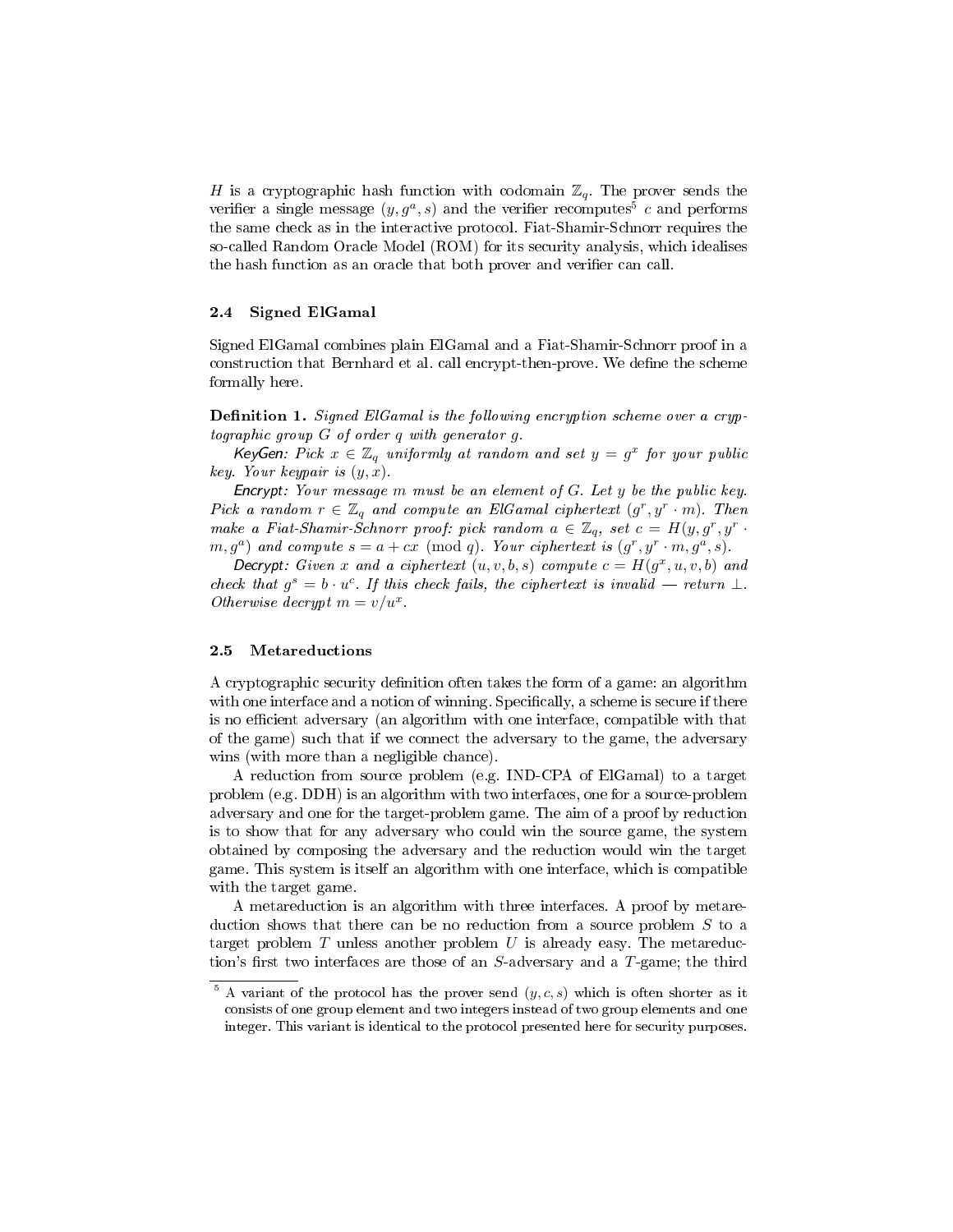H is a cryptographic hash function with codomain  $\mathbb{Z}_q$ . The prover sends the verifier a single message  $(y, g^a, s)$  and the verifier recomputes<sup>[5](#page-6-0)</sup> c and performs the same check as in the interactive protocol. Fiat-Shamir-Schnorr requires the so-called Random Oracle Model (ROM) for its security analysis, which idealises the hash function as an oracle that both prover and verifier can call.

### 2.4 Signed ElGamal

Signed ElGamal combines plain ElGamal and a Fiat-Shamir-Schnorr proof in a construction that Bernhard et al. call encrypt-then-prove. We define the scheme formally here.

**Definition 1.** Signed ElGamal is the following encryption scheme over a cryptographic group G of order q with generator g.

KeyGen: Pick  $x \in \mathbb{Z}_q$  uniformly at random and set  $y = g^x$  for your public key. Your keypair is  $(y, x)$ .

Encrypt: Your message m must be an element of G. Let y be the public key. Pick a random  $r \in \mathbb{Z}_q$  and compute an ElGamal ciphertext  $(g^r, y^r \cdot m)$ . Then make a Fiat-Shamir-Schnorr proof: pick random  $a \in \mathbb{Z}_q$ , set  $c = H(y, g^r, y^r$ .  $m, g^a$ ) and compute  $s = a + cx \pmod{q}$ . Your ciphertext is  $(g^r, y^r \cdot m, g^a, s)$ .

Decrypt: Given x and a ciphertext  $(u, v, b, s)$  compute  $c = H(g^x, u, v, b)$  and check that  $g^s = b \cdot u^c$ . If this check fails, the ciphertext is invalid – return  $\perp$ . Otherwise decrypt  $m = v/u^x$ .

# 2.5 Metareductions

A cryptographic security definition often takes the form of a game: an algorithm with one interface and a notion of winning. Specifically, a scheme is secure if there is no efficient adversary (an algorithm with one interface, compatible with that of the game) such that if we connect the adversary to the game, the adversary wins (with more than a negligible chance).

A reduction from source problem (e.g. IND-CPA of ElGamal) to a target problem (e.g. DDH) is an algorithm with two interfaces, one for a source-problem adversary and one for the target-problem game. The aim of a proof by reduction is to show that for any adversary who could win the source game, the system obtained by composing the adversary and the reduction would win the target game. This system is itself an algorithm with one interface, which is compatible with the target game.

A metareduction is an algorithm with three interfaces. A proof by metareduction shows that there can be no reduction from a source problem  $S$  to a target problem  $T$  unless another problem  $U$  is already easy. The metareduction's first two interfaces are those of an  $S$ -adversary and a  $T$ -game; the third

<span id="page-6-0"></span> $5$  A variant of the protocol has the prover send  $(y, c, s)$  which is often shorter as it consists of one group element and two integers instead of two group elements and one integer. This variant is identical to the protocol presented here for security purposes.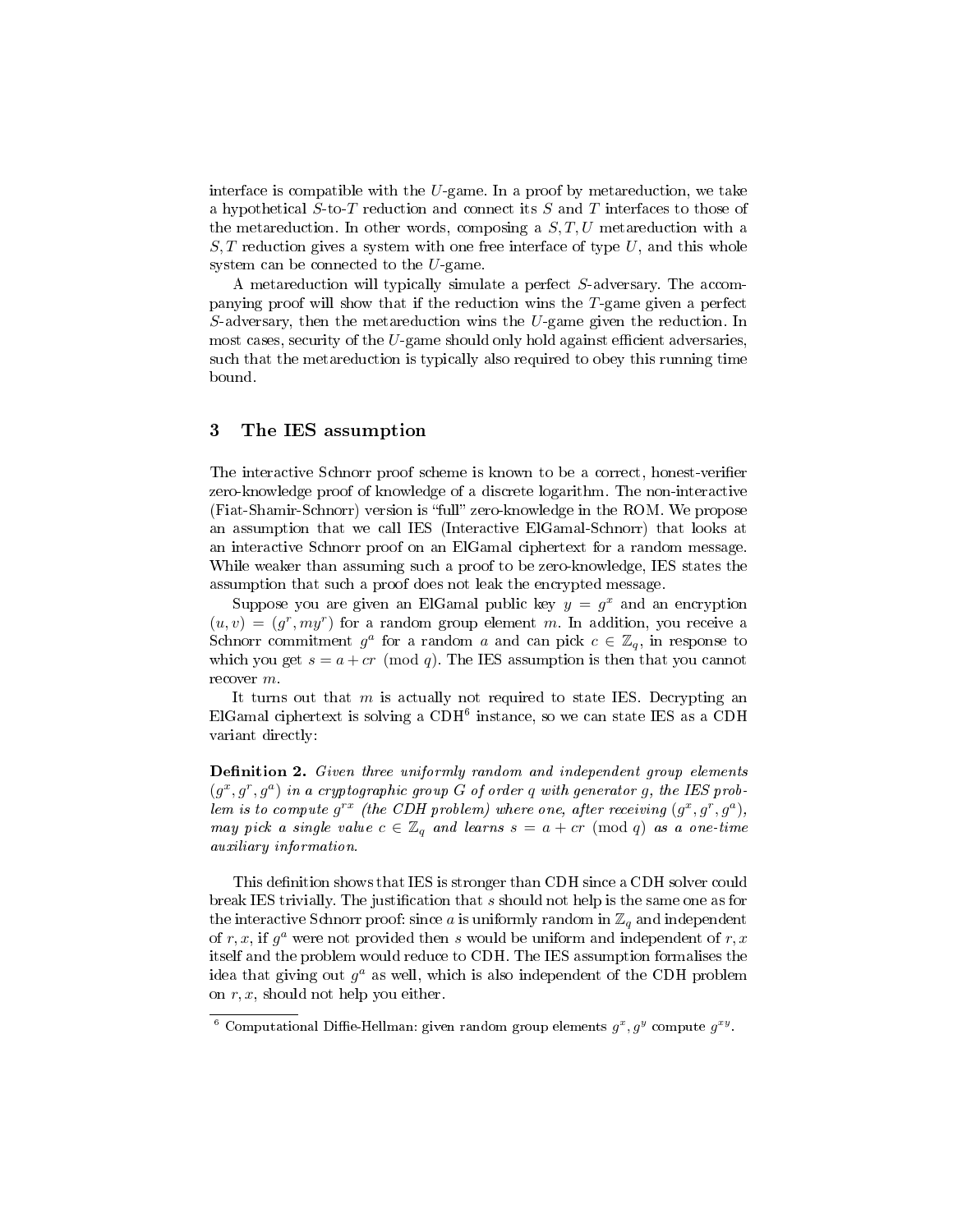interface is compatible with the  $U$ -game. In a proof by metareduction, we take a hypothetical S-to-T reduction and connect its S and T interfaces to those of the metareduction. In other words, composing a  $S, T, U$  metareduction with a  $S, T$  reduction gives a system with one free interface of type U, and this whole system can be connected to the  $U$ -game.

A metareduction will typically simulate a perfect S-adversary. The accompanying proof will show that if the reduction wins the T-game given a perfect S-adversary, then the metareduction wins the  $U$ -game given the reduction. In most cases, security of the  $U$ -game should only hold against efficient adversaries. such that the metareduction is typically also required to obey this running time bound.

# 3 The IES assumption

The interactive Schnorr proof scheme is known to be a correct, honest-verifier zero-knowledge proof of knowledge of a discrete logarithm. The non-interactive (Fiat-Shamir-Schnorr) version is "full" zero-knowledge in the ROM. We propose an assumption that we call IES (Interactive ElGamal-Schnorr) that looks at an interactive Schnorr proof on an ElGamal ciphertext for a random message. While weaker than assuming such a proof to be zero-knowledge, IES states the assumption that such a proof does not leak the encrypted message.

Suppose you are given an ElGamal public key  $y = g^x$  and an encryption  $(u, v) = (g^r, my^r)$  for a random group element m. In addition, you receive a Schnorr commitment  $g^a$  for a random a and can pick  $c \in \mathbb{Z}_q$ , in response to which you get  $s = a + cr \pmod{q}$ . The IES assumption is then that you cannot recover m.

It turns out that  $m$  is actually not required to state IES. Decrypting an ElGamal ciphertext is solving a  $CDH^6$  $CDH^6$  instance, so we can state IES as a  $CDH$ variant directly:

**Definition 2.** Given three uniformly random and independent group elements  $(g^x, g^r, g^a)$  in a cryptographic group G of order q with generator g, the IES problem is to compute  $g^{rx}$  (the CDH problem) where one, after receiving  $(g^x, g^r, g^a)$ , may pick a single value  $c \in \mathbb{Z}_q$  and learns  $s = a + cr \pmod{q}$  as a one-time auxiliary information.

This definition shows that IES is stronger than CDH since a CDH solver could break IES trivially. The justification that  $s$  should not help is the same one as for the interactive Schnorr proof: since a is uniformly random in  $\mathbb{Z}_q$  and independent of  $r, x$ , if  $g^a$  were not provided then s would be uniform and independent of  $r, x$ itself and the problem would reduce to CDH. The IES assumption formalises the idea that giving out  $g^a$  as well, which is also independent of the CDH problem on  $r, x$ , should not help you either.

<span id="page-7-0"></span> $6$  Computational Diffie-Hellman: given random group elements  $g^x, g^y$  compute  $g^{xy}$ .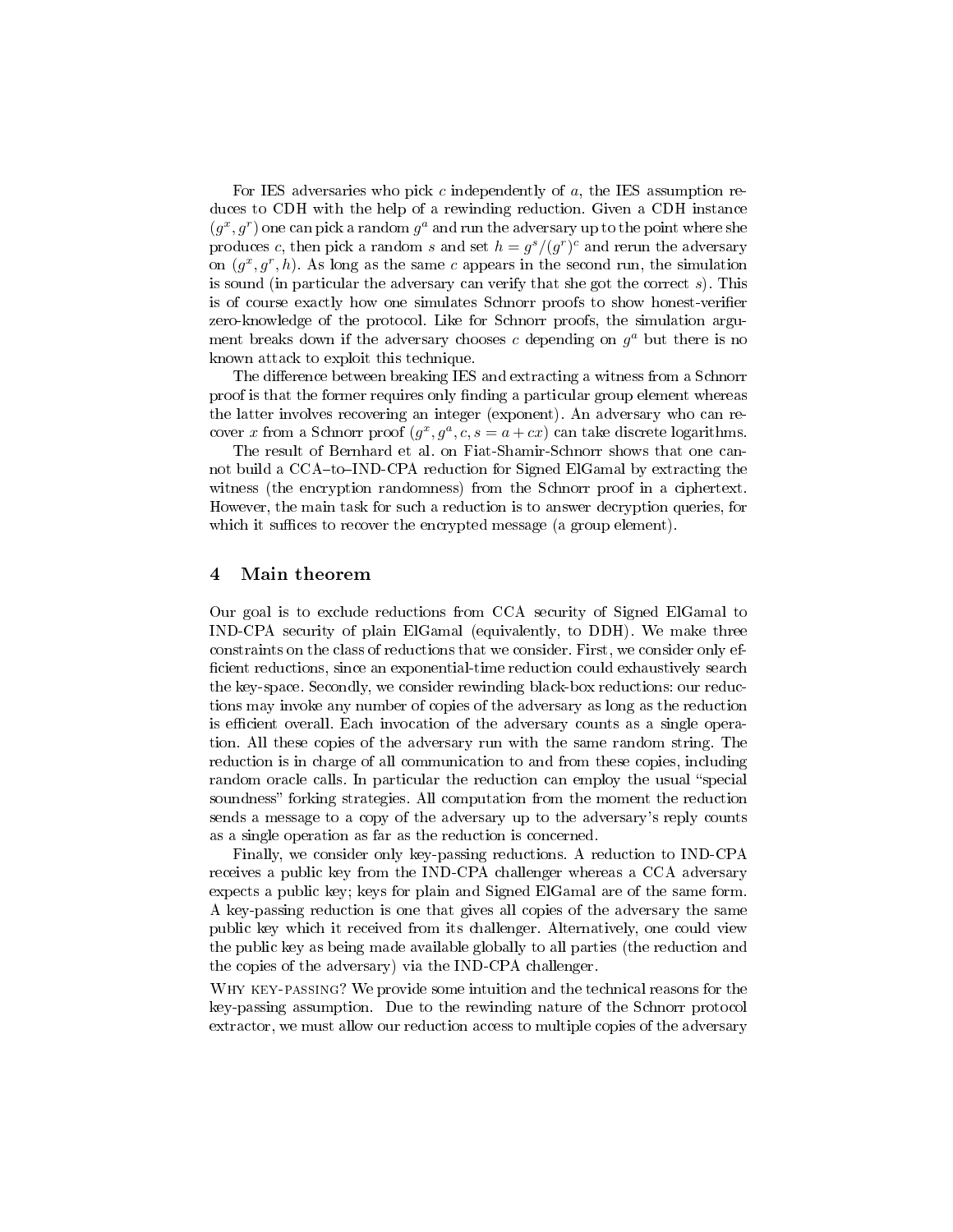For IES adversaries who pick c independently of a, the IES assumption reduces to CDH with the help of a rewinding reduction. Given a CDH instance  $(g^x, g^r)$  one can pick a random  $g^a$  and run the adversary up to the point where she produces c, then pick a random s and set  $h = g^s/(g^r)^c$  and rerun the adversary on  $(g^x, g^r, h)$ . As long as the same c appears in the second run, the simulation is sound (in particular the adversary can verify that she got the correct  $s$ ). This is of course exactly how one simulates Schnorr proofs to show honest-verifier zero-knowledge of the protocol. Like for Schnorr proofs, the simulation argument breaks down if the adversary chooses c depending on  $g^a$  but there is no known attack to exploit this technique.

The difference between breaking IES and extracting a witness from a Schnorr proof is that the former requires only finding a particular group element whereas the latter involves recovering an integer (exponent). An adversary who can recover x from a Schnorr proof  $(g^x, g^a, c, s = a + cx)$  can take discrete logarithms.

The result of Bernhard et al. on Fiat-Shamir-Schnorr shows that one cannot build a CCA-to-IND-CPA reduction for Signed ElGamal by extracting the witness (the encryption randomness) from the Schnorr proof in a ciphertext. However, the main task for such a reduction is to answer decryption queries, for which it suffices to recover the encrypted message (a group element).

## 4 Main theorem

Our goal is to exclude reductions from CCA security of Signed ElGamal to IND-CPA security of plain ElGamal (equivalently, to DDH). We make three constraints on the class of reductions that we consider. First, we consider only ef ficient reductions, since an exponential-time reduction could exhaustively search the key-space. Secondly, we consider rewinding black-box reductions: our reductions may invoke any number of copies of the adversary as long as the reduction is efficient overall. Each invocation of the adversary counts as a single operation. All these copies of the adversary run with the same random string. The reduction is in charge of all communication to and from these copies, including random oracle calls. In particular the reduction can employ the usual "special soundness" forking strategies. All computation from the moment the reduction sends a message to a copy of the adversary up to the adversary's reply counts as a single operation as far as the reduction is concerned.

Finally, we consider only key-passing reductions. A reduction to IND-CPA receives a public key from the IND-CPA challenger whereas a CCA adversary expects a public key; keys for plain and Signed ElGamal are of the same form. A key-passing reduction is one that gives all copies of the adversary the same public key which it received from its challenger. Alternatively, one could view the public key as being made available globally to all parties (the reduction and the copies of the adversary) via the IND-CPA challenger.

Why key-passing? We provide some intuition and the technical reasons for the key-passing assumption. Due to the rewinding nature of the Schnorr protocol extractor, we must allow our reduction access to multiple copies of the adversary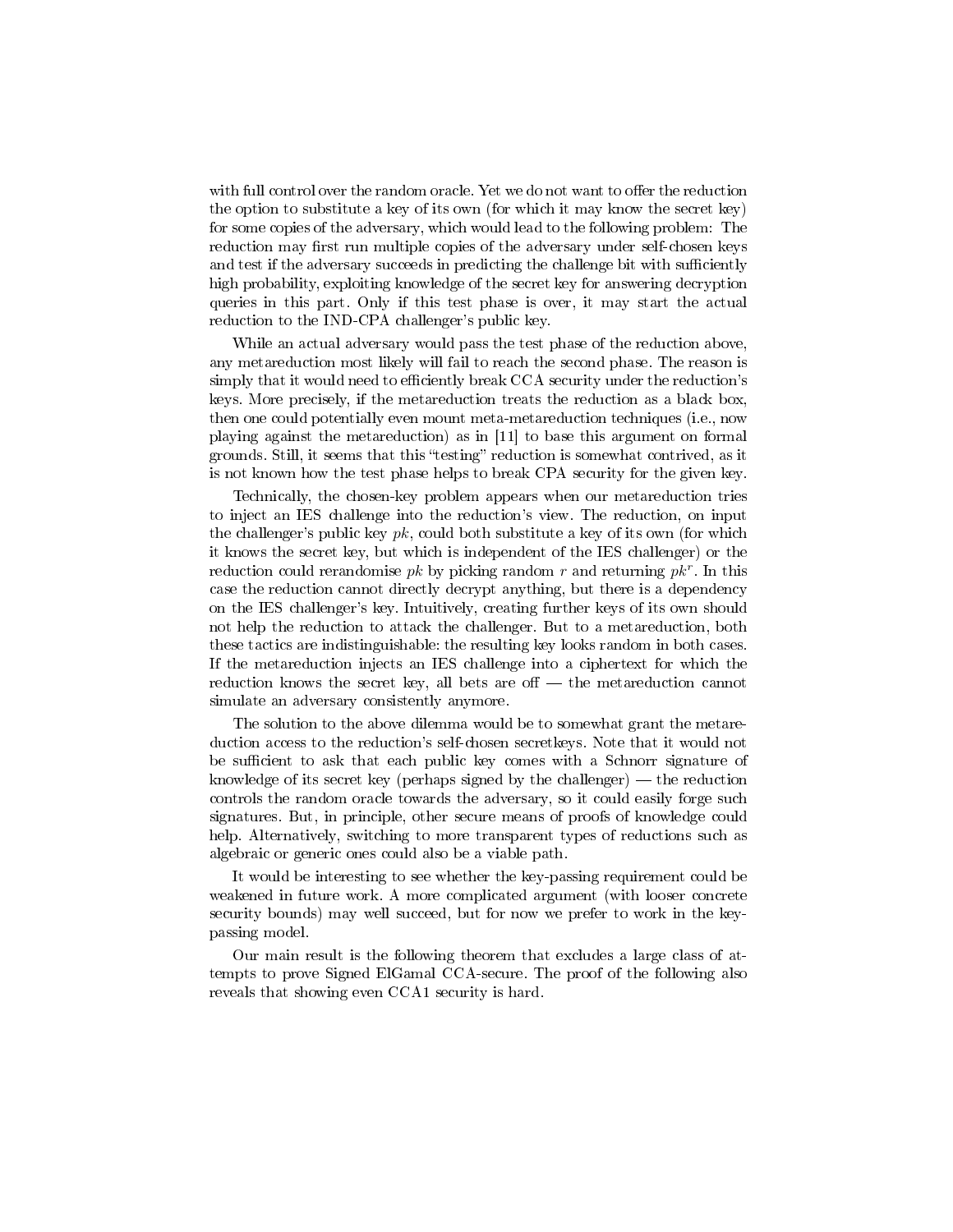with full control over the random oracle. Yet we do not want to offer the reduction the option to substitute a key of its own (for which it may know the secret key) for some copies of the adversary, which would lead to the following problem: The reduction may first run multiple copies of the adversary under self-chosen keys and test if the adversary succeeds in predicting the challenge bit with sufficiently high probability, exploiting knowledge of the secret key for answering decryption queries in this part. Only if this test phase is over, it may start the actual reduction to the IND-CPA challenger's public key.

While an actual adversary would pass the test phase of the reduction above, any metareduction most likely will fail to reach the second phase. The reason is simply that it would need to efficiently break CCA security under the reduction's keys. More precisely, if the metareduction treats the reduction as a black box, then one could potentially even mount meta-metareduction techniques (i.e., now playing against the metareduction) as in [\[11\]](#page-23-6) to base this argument on formal grounds. Still, it seems that this "testing" reduction is somewhat contrived, as it is not known how the test phase helps to break CPA security for the given key.

Technically, the chosen-key problem appears when our metareduction tries to inject an IES challenge into the reduction's view. The reduction, on input the challenger's public key  $pk$ , could both substitute a key of its own (for which it knows the secret key, but which is independent of the IES challenger) or the reduction could rerandomise  $pk$  by picking random  $r$  and returning  $pk^r$ . In this case the reduction cannot directly decrypt anything, but there is a dependency on the IES challenger's key. Intuitively, creating further keys of its own should not help the reduction to attack the challenger. But to a metareduction, both these tactics are indistinguishable: the resulting key looks random in both cases. If the metareduction injects an IES challenge into a ciphertext for which the reduction knows the secret key, all bets are off  $-$  the metareduction cannot simulate an adversary consistently anymore.

The solution to the above dilemma would be to somewhat grant the metareduction access to the reduction's self-chosen secretkeys. Note that it would not be sufficient to ask that each public key comes with a Schnorr signature of knowledge of its secret key (perhaps signed by the challenger)  $-$  the reduction controls the random oracle towards the adversary, so it could easily forge such signatures. But, in principle, other secure means of proofs of knowledge could help. Alternatively, switching to more transparent types of reductions such as algebraic or generic ones could also be a viable path.

It would be interesting to see whether the key-passing requirement could be weakened in future work. A more complicated argument (with looser concrete security bounds) may well succeed, but for now we prefer to work in the keypassing model.

<span id="page-9-0"></span>Our main result is the following theorem that excludes a large class of attempts to prove Signed ElGamal CCA-secure. The proof of the following also reveals that showing even CCA1 security is hard.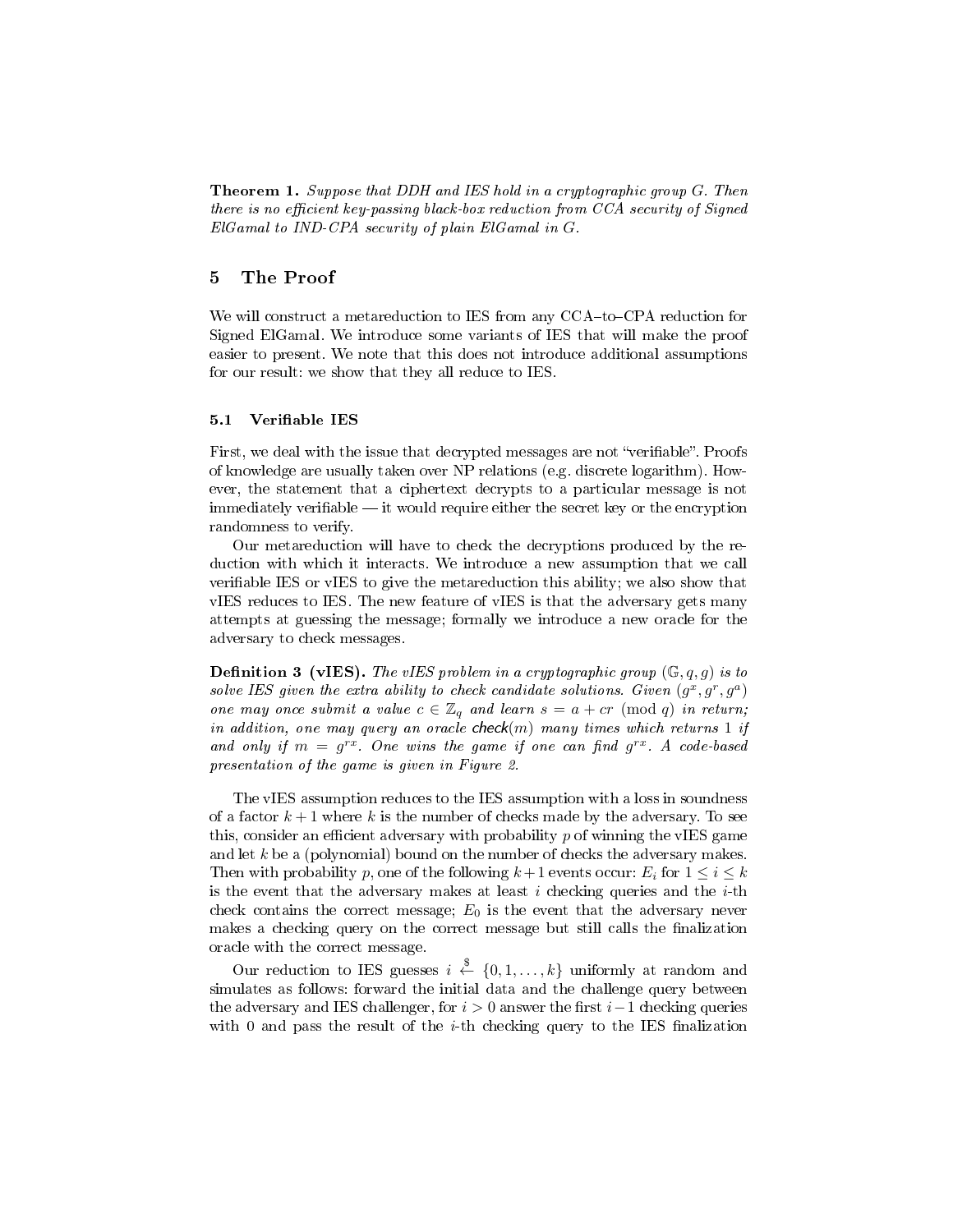Theorem 1. Suppose that DDH and IES hold in a cryptographic group G. Then there is no efficient key-passing black-box reduction from  $CCA$  security of Signed ElGamal to IND-CPA security of plain ElGamal in G.

# 5 The Proof

We will construct a metareduction to IES from any  $CCA$  +o-CPA reduction for Signed ElGamal. We introduce some variants of IES that will make the proof easier to present. We note that this does not introduce additional assumptions for our result: we show that they all reduce to IES.

#### 5.1 Verifiable IES

First, we deal with the issue that decrypted messages are not "verifiable". Proofs of knowledge are usually taken over NP relations (e.g. discrete logarithm). However, the statement that a ciphertext decrypts to a particular message is not  $immediately$  verifiable  $-$  it would require either the secret key or the encryption randomness to verify.

Our metareduction will have to check the decryptions produced by the reduction with which it interacts. We introduce a new assumption that we call veriable IES or vIES to give the metareduction this ability; we also show that vIES reduces to IES. The new feature of vIES is that the adversary gets many attempts at guessing the message; formally we introduce a new oracle for the adversary to check messages.

**Definition 3** (vIES). The vIES problem in a cryptographic group  $(\mathbb{G}, q, q)$  is to solve IES given the extra ability to check candidate solutions. Given  $(g^x, g^r, g^a)$ one may once submit a value  $c \in \mathbb{Z}_q$  and learn  $s = a + cr \pmod{q}$  in return; in addition, one may query an oracle check $(m)$  many times which returns 1 if and only if  $m = g^{rx}$ . One wins the game if one can find  $g^{rx}$ . A code-based presentation of the game is given in Figure [2.](#page-11-0)

The vIES assumption reduces to the IES assumption with a loss in soundness of a factor  $k+1$  where k is the number of checks made by the adversary. To see this, consider an efficient adversary with probability  $p$  of winning the vIES game and let  $k$  be a (polynomial) bound on the number of checks the adversary makes. Then with probability p, one of the following  $k+1$  events occur:  $E_i$  for  $1 \leq i \leq k$ is the event that the adversary makes at least  $i$  checking queries and the  $i$ -th check contains the correct message;  $E_0$  is the event that the adversary never makes a checking query on the correct message but still calls the finalization oracle with the correct message.

Our reduction to IES guesses  $i \stackrel{\$}{\leftarrow} \{0,1,\ldots,k\}$  uniformly at random and simulates as follows: forward the initial data and the challenge query between the adversary and IES challenger, for  $i > 0$  answer the first  $i-1$  checking queries with 0 and pass the result of the  $i$ -th checking query to the IES finalization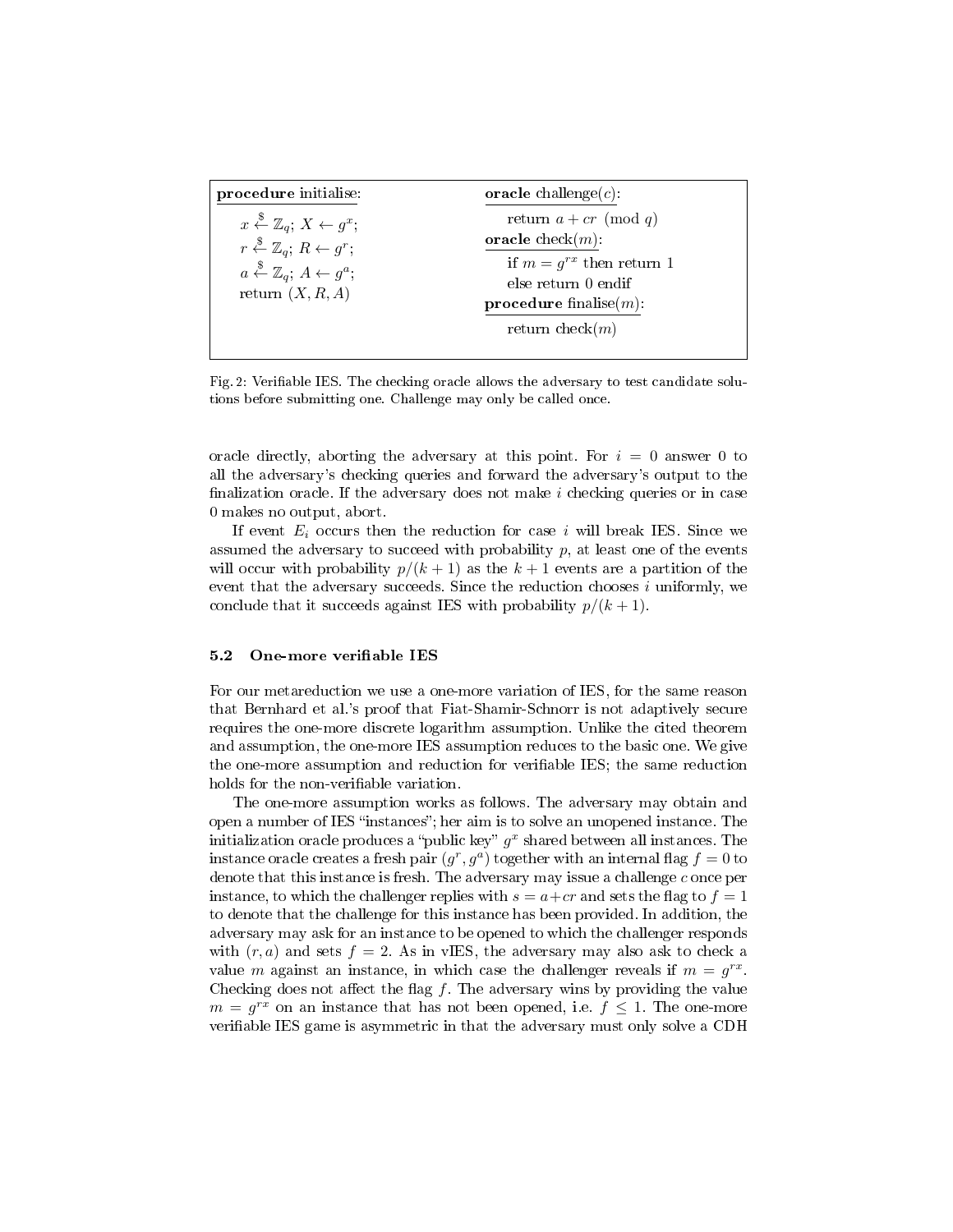<span id="page-11-0"></span>

| procedure initialise:                                                                                                                                                                                                             | <b>oracle</b> challenge $(c)$ :                                                                                                                                   |
|-----------------------------------------------------------------------------------------------------------------------------------------------------------------------------------------------------------------------------------|-------------------------------------------------------------------------------------------------------------------------------------------------------------------|
| $x \stackrel{\$}{\leftarrow} \mathbb{Z}_q$ ; $X \leftarrow g^x$ ;<br>$r \stackrel{\$}{\leftarrow} \mathbb{Z}_q$ ; $R \leftarrow g^r$ ;<br>$a \stackrel{\$}{\leftarrow} \mathbb{Z}_q$ ; $A \leftarrow g^a$ ;<br>return $(X, R, A)$ | return $a+cr \pmod{q}$<br>oracle check $(m)$ :<br>if $m = g^{rx}$ then return 1<br>else return 0 endif<br><b>procedure</b> finalise $(m)$ :<br>return check $(m)$ |

Fig. 2: Verifiable IES. The checking oracle allows the adversary to test candidate solutions before submitting one. Challenge may only be called once.

oracle directly, aborting the adversary at this point. For  $i = 0$  answer 0 to all the adversary's checking queries and forward the adversary's output to the finalization oracle. If the adversary does not make  $i$  checking queries or in case 0 makes no output, abort.

If event  $E_i$  occurs then the reduction for case i will break IES. Since we assumed the adversary to succeed with probability  $p$ , at least one of the events will occur with probability  $p/(k+1)$  as the  $k+1$  events are a partition of the event that the adversary succeeds. Since the reduction chooses i uniformly, we conclude that it succeeds against IES with probability  $p/(k+1)$ .

#### 5.2 One-more verifiable IES

For our metareduction we use a one-more variation of IES, for the same reason that Bernhard et al.'s proof that Fiat-Shamir-Schnorr is not adaptively secure requires the one-more discrete logarithm assumption. Unlike the cited theorem and assumption, the one-more IES assumption reduces to the basic one. We give the one-more assumption and reduction for veriable IES; the same reduction holds for the non-verifiable variation.

The one-more assumption works as follows. The adversary may obtain and open a number of IES "instances"; her aim is to solve an unopened instance. The initialization oracle produces a "public key"  $g^x$  shared between all instances. The instance oracle creates a fresh pair  $(g^r, g^a)$  together with an internal flag  $f = 0$  to denote that this instance is fresh. The adversary may issue a challenge c once per instance, to which the challenger replies with  $s = a + cr$  and sets the flag to  $f = 1$ to denote that the challenge for this instance has been provided. In addition, the adversary may ask for an instance to be opened to which the challenger responds with  $(r, a)$  and sets  $f = 2$ . As in vIES, the adversary may also ask to check a value m against an instance, in which case the challenger reveals if  $m = g^{rx}$ . Checking does not affect the flag f. The adversary wins by providing the value  $m = g^{rx}$  on an instance that has not been opened, i.e.  $f \leq 1$ . The one-more verifiable IES game is asymmetric in that the adversary must only solve a CDH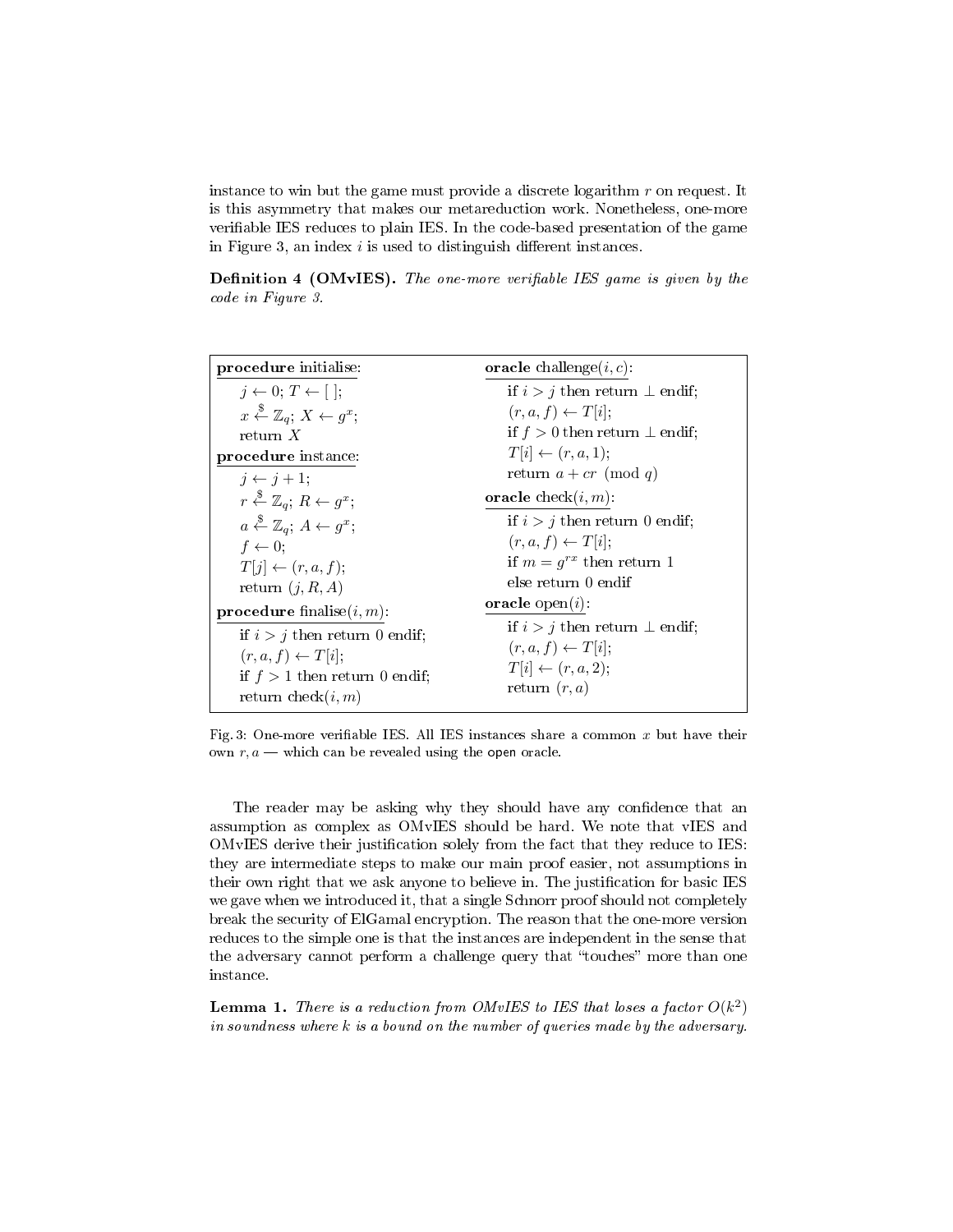instance to win but the game must provide a discrete logarithm  $r$  on request. It is this asymmetry that makes our metareduction work. Nonetheless, one-more verifiable IES reduces to plain IES. In the code-based presentation of the game in Figure [3,](#page-12-0) an index  $i$  is used to distinguish different instances.

**Definition 4 (OMvIES).** The one-more verifiable IES game is given by the code in Figure [3.](#page-12-0)

<span id="page-12-0"></span>

| procedure initialise:                                             | <b>oracle</b> challenge $(i, c)$ :    |
|-------------------------------------------------------------------|---------------------------------------|
| $j \leftarrow 0; T \leftarrow [$                                  | if $i > j$ then return $\perp$ endif; |
| $x \stackrel{\$}{\leftarrow} \mathbb{Z}_q$ ; $X \leftarrow q^x$ ; | $(r, a, f) \leftarrow T[i];$          |
| return $X$                                                        | if $f > 0$ then return $\perp$ endif; |
| procedure instance:                                               | $T[i] \leftarrow (r, a, 1);$          |
| $j \leftarrow j+1;$                                               | return $a+cr \pmod{q}$                |
| $r \stackrel{\$}{\leftarrow} \mathbb{Z}_q$ ; $R \leftarrow q^x$ ; | <b>oracle</b> check $(i, m)$ :        |
| $a \stackrel{\$}{\leftarrow} \mathbb{Z}_q$ ; $A \leftarrow q^x$ ; | if $i > j$ then return 0 endif;       |
| $f \leftarrow 0$ ;                                                | $(r, a, f) \leftarrow T[i];$          |
| $T[j] \leftarrow (r, a, f);$                                      | if $m = g^{rx}$ then return 1         |
| return $(j, R, A)$                                                | else return 0 endif                   |
| <b>procedure</b> finalise $(i, m)$ :                              | oracle open( <i>i</i> ):              |
| if $i > j$ then return 0 endif;                                   | if $i > j$ then return $\perp$ endif; |
| $(r, a, f) \leftarrow T[i];$                                      | $(r, a, f) \leftarrow T[i];$          |
| if $f > 1$ then return 0 endif;                                   | $T[i] \leftarrow (r, a, 2);$          |
| return check $(i, m)$                                             | return $(r, a)$                       |

Fig. 3: One-more verifiable IES. All IES instances share a common  $x$  but have their own  $r, a$  — which can be revealed using the open oracle.

The reader may be asking why they should have any confidence that an assumption as complex as OMvIES should be hard. We note that vIES and OMvIES derive their justification solely from the fact that they reduce to IES: they are intermediate steps to make our main proof easier, not assumptions in their own right that we ask anyone to believe in. The justification for basic IES we gave when we introduced it, that a single Schnorr proof should not completely break the security of ElGamal encryption. The reason that the one-more version reduces to the simple one is that the instances are independent in the sense that the adversary cannot perform a challenge query that "touches" more than one instance.

**Lemma 1.** There is a reduction from OMvIES to IES that loses a factor  $O(k^2)$ in soundness where  $k$  is a bound on the number of queries made by the adversary.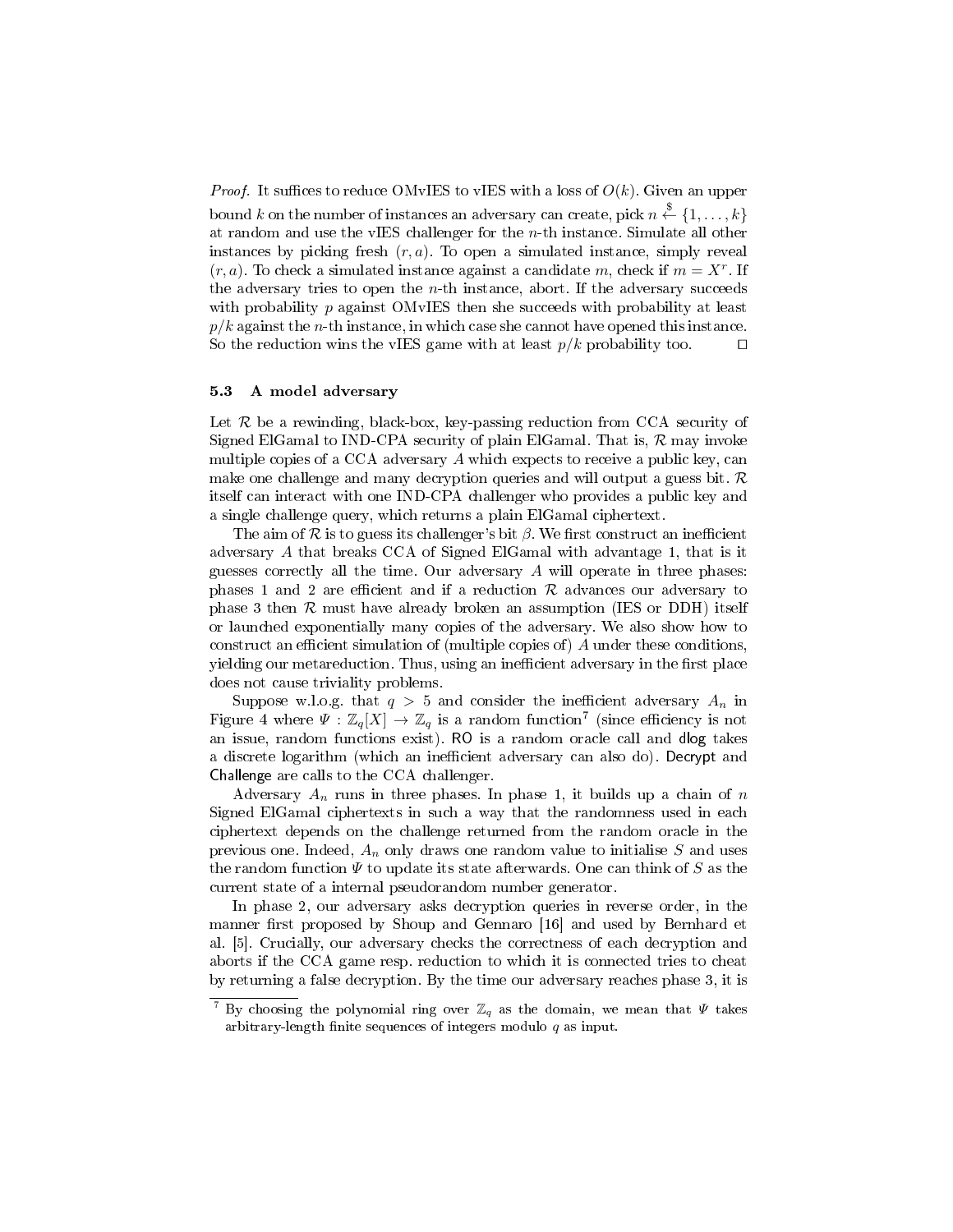*Proof.* It suffices to reduce OMvIES to vIES with a loss of  $O(k)$ . Given an upper bound  $k$  on the number of instances an adversary can create, pick  $n \stackrel{\$}{\leftarrow} \{1, \ldots, k\}$ at random and use the vIES challenger for the n-th instance. Simulate all other instances by picking fresh  $(r, a)$ . To open a simulated instance, simply reveal  $(r, a)$ . To check a simulated instance against a candidate m, check if  $m = X^r$ . If the adversary tries to open the  $n$ -th instance, abort. If the adversary succeeds with probability  $p$  against OMvIES then she succeeds with probability at least  $p/k$  against the *n*-th instance, in which case she cannot have opened this instance. So the reduction wins the vIES game with at least  $p/k$  probability too.  $\Box$ 

### 5.3 A model adversary

Let  $\mathcal R$  be a rewinding, black-box, key-passing reduction from CCA security of Signed ElGamal to IND-CPA security of plain ElGamal. That is,  $\mathcal{R}$  may invoke multiple copies of a CCA adversary  $A$  which expects to receive a public key, can make one challenge and many decryption queries and will output a guess bit.  $\mathcal R$ itself can interact with one IND-CPA challenger who provides a public key and a single challenge query, which returns a plain ElGamal ciphertext.

The aim of  $\mathcal R$  is to guess its challenger's bit  $\beta$ . We first construct an inefficient adversary A that breaks CCA of Signed ElGamal with advantage 1, that is it guesses correctly all the time. Our adversary  $A$  will operate in three phases: phases 1 and 2 are efficient and if a reduction  $R$  advances our adversary to phase 3 then  $R$  must have already broken an assumption (IES or DDH) itself or launched exponentially many copies of the adversary. We also show how to construct an efficient simulation of (multiple copies of)  $A$  under these conditions, yielding our metareduction. Thus, using an inefficient adversary in the first place does not cause triviality problems.

Suppose w.l.o.g. that  $q > 5$  and consider the inefficient adversary  $A_n$  in Figure [4](#page-14-0) where  $\Psi : \mathbb{Z}_q[X] \to \mathbb{Z}_q$  is a random function<sup>[7](#page-13-0)</sup> (since efficiency is not an issue, random functions exist). RO is a random oracle call and dlog takes a discrete logarithm (which an inefficient adversary can also do). Decrypt and Challenge are calls to the CCA challenger.

Adversary  $A_n$  runs in three phases. In phase 1, it builds up a chain of n Signed ElGamal ciphertexts in such a way that the randomness used in each ciphertext depends on the challenge returned from the random oracle in the previous one. Indeed,  $A_n$  only draws one random value to initialise S and uses the random function  $\Psi$  to update its state afterwards. One can think of  $S$  as the current state of a internal pseudorandom number generator.

In phase 2, our adversary asks decryption queries in reverse order, in the manner first proposed by Shoup and Gennaro [\[16\]](#page-23-0) and used by Bernhard et al. [\[5\]](#page-22-5). Crucially, our adversary checks the correctness of each decryption and aborts if the CCA game resp. reduction to which it is connected tries to cheat by returning a false decryption. By the time our adversary reaches phase 3, it is

<span id="page-13-0"></span><sup>&</sup>lt;sup>7</sup> By choosing the polynomial ring over  $\mathbb{Z}_q$  as the domain, we mean that  $\Psi$  takes arbitrary-length finite sequences of integers modulo  $q$  as input.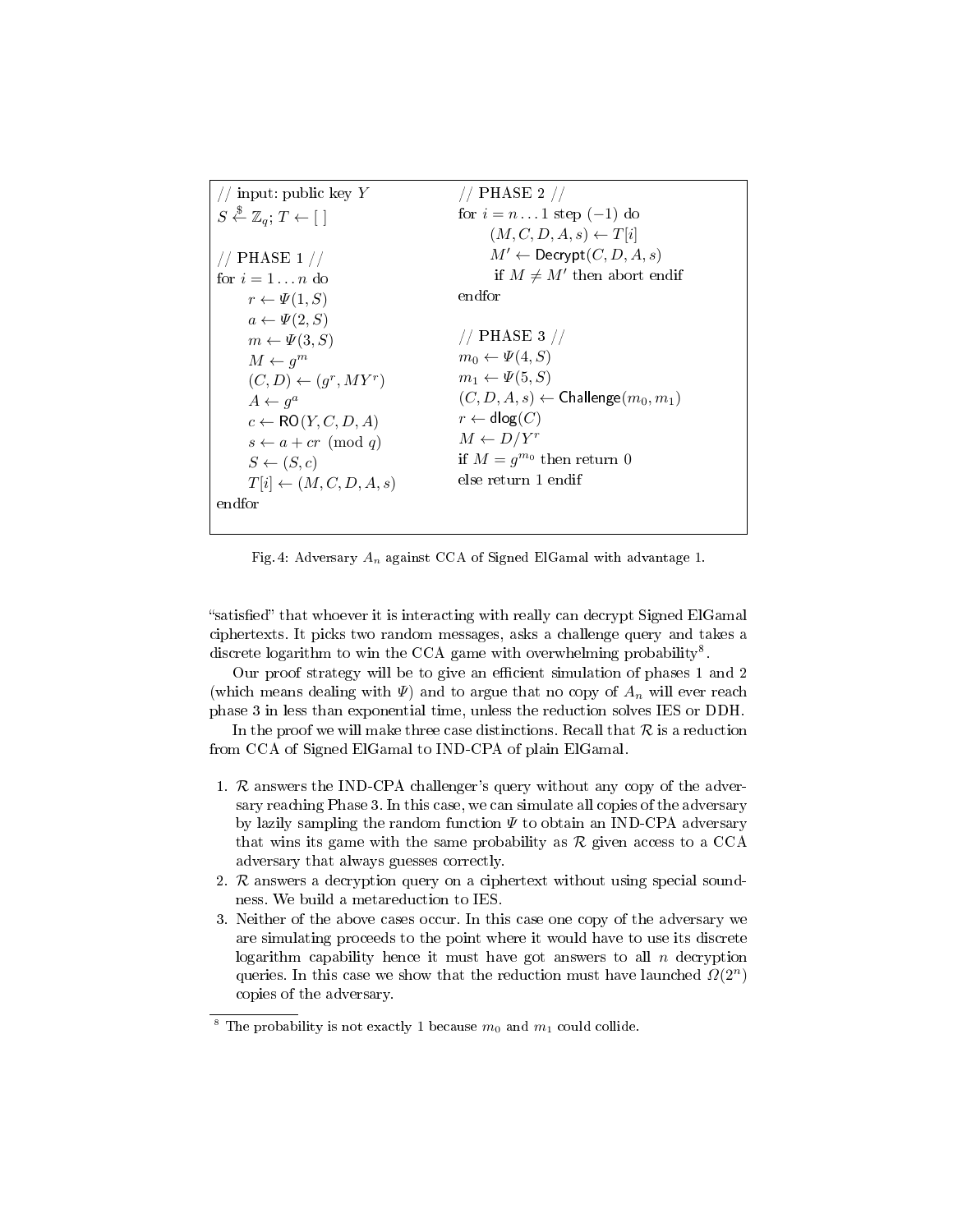<span id="page-14-0"></span>

| // input: public key Y                                        |                                                  |
|---------------------------------------------------------------|--------------------------------------------------|
| $S \stackrel{\$}{\leftarrow} \mathbb{Z}_q$ ; $T \leftarrow [$ | for $i = n \dots 1$ step $(-1)$ do               |
|                                                               | $(M, C, D, A, s) \leftarrow T[i]$                |
|                                                               | $M' \leftarrow$ Decrypt $(C, D, A, s)$           |
| for $i=1n$ do                                                 | if $M \neq M'$ then abort endif                  |
| $r \leftarrow \Psi(1, S)$                                     | endfor                                           |
| $a \leftarrow \Psi(2, S)$                                     |                                                  |
| $m \leftarrow \Psi(3, S)$                                     | // PHASE 3 $\frac{1}{2}$                         |
| $M \leftarrow q^m$                                            | $m_0 \leftarrow \Psi(4, S)$                      |
| $(C, D) \leftarrow (q^r, MY^r)$                               | $m_1 \leftarrow \Psi(5, S)$                      |
| $A \leftarrow q^a$                                            | $(C, D, A, s) \leftarrow$ Challenge $(m_0, m_1)$ |
| $c \leftarrow \text{RO}(Y, C, D, A)$                          | $r \leftarrow \mathsf{dlog}(C)$                  |
| $s \leftarrow a + cr \pmod{q}$                                | $M \leftarrow D/Y^r$                             |
| $S \leftarrow (S, c)$                                         | if $M = q^{m_0}$ then return 0                   |
| $T[i] \leftarrow (M, C, D, A, s)$                             | else return 1 endif                              |
| endfor                                                        |                                                  |
|                                                               |                                                  |

Fig. 4: Adversary  $A_n$  against CCA of Signed ElGamal with advantage 1.

"satisfied" that whoever it is interacting with really can decrypt Signed ElGamal ciphertexts. It picks two random messages, asks a challenge query and takes a discrete logarithm to win the CCA game with overwhelming probability<sup>[8](#page-14-1)</sup>.

Our proof strategy will be to give an efficient simulation of phases 1 and 2 (which means dealing with  $\Psi$ ) and to argue that no copy of  $A_n$  will ever reach phase 3 in less than exponential time, unless the reduction solves IES or DDH.

In the proof we will make three case distinctions. Recall that  $\mathcal R$  is a reduction from CCA of Signed ElGamal to IND-CPA of plain ElGamal.

- 1. R answers the IND-CPA challenger's query without any copy of the adversary reaching Phase 3. In this case, we can simulate all copies of the adversary by lazily sampling the random function  $\Psi$  to obtain an IND-CPA adversary that wins its game with the same probability as  $\mathcal R$  given access to a CCA adversary that always guesses correctly.
- 2.  $\mathcal R$  answers a decryption query on a ciphertext without using special soundness. We build a metareduction to IES.
- 3. Neither of the above cases occur. In this case one copy of the adversary we are simulating proceeds to the point where it would have to use its discrete logarithm capability hence it must have got answers to all  $n$  decryption queries. In this case we show that the reduction must have launched  $\Omega(2^n)$ copies of the adversary.

<span id="page-14-1"></span><sup>&</sup>lt;sup>8</sup> The probability is not exactly 1 because  $m_0$  and  $m_1$  could collide.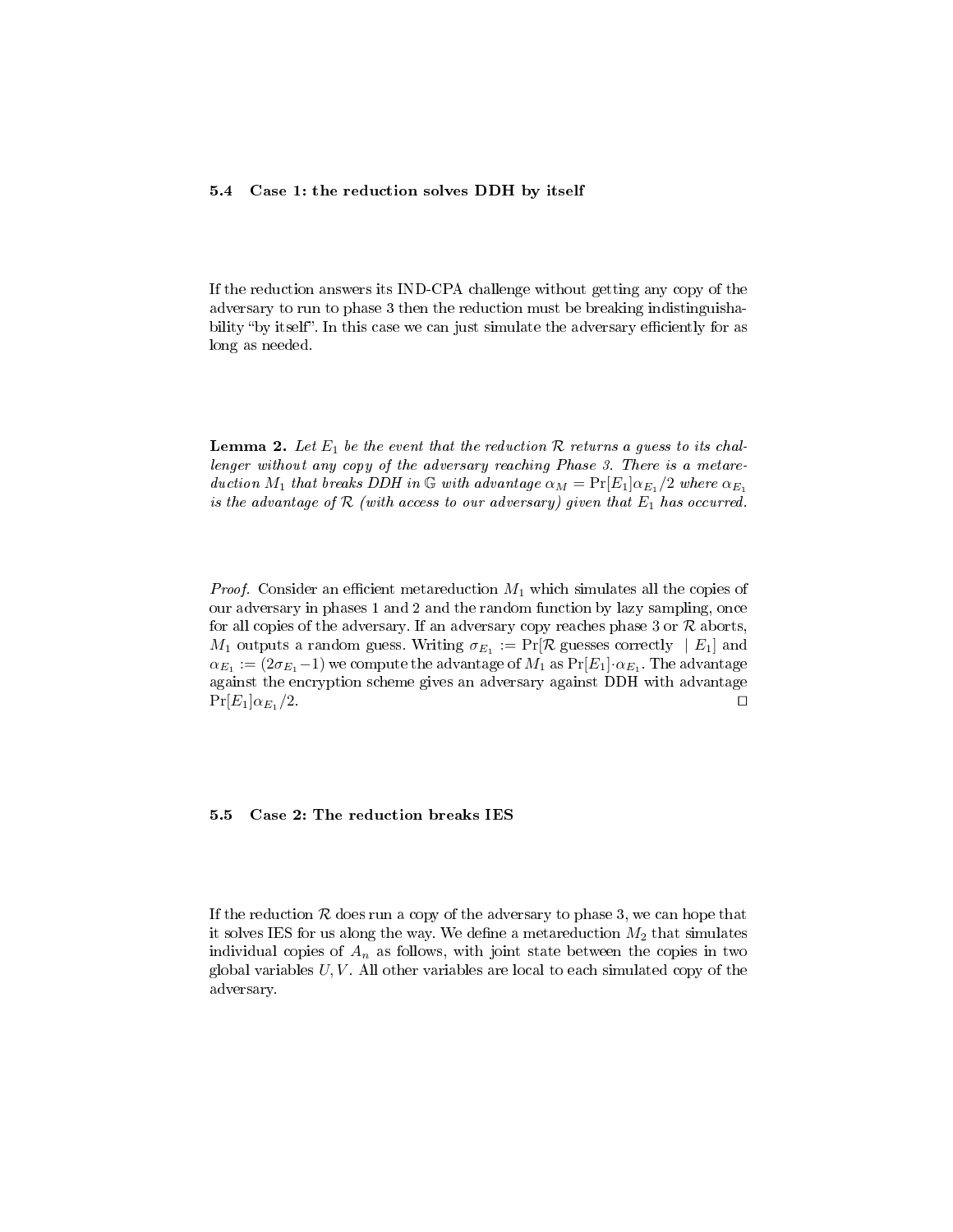#### 5.4 Case 1: the reduction solves DDH by itself

If the reduction answers its IND-CPA challenge without getting any copy of the adversary to run to phase 3 then the reduction must be breaking indistinguishability "by itself". In this case we can just simulate the adversary efficiently for as long as needed.

**Lemma 2.** Let  $E_1$  be the event that the reduction R returns a guess to its challenger without any copy of the adversary reaching Phase 3. There is a metareduction  $M_1$  that breaks DDH in G with advantage  $\alpha_M = \Pr[E_1] \alpha_{E_1}/2$  where  $\alpha_{E_1}$ is the advantage of  $R$  (with access to our adversary) given that  $E_1$  has occurred.

*Proof.* Consider an efficient metareduction  $M_1$  which simulates all the copies of our adversary in phases 1 and 2 and the random function by lazy sampling, once for all copies of the adversary. If an adversary copy reaches phase 3 or  $R$  aborts,  $M_1$  outputs a random guess. Writing  $\sigma_{E_1} := \Pr[\mathcal{R}]$  guesses correctly  $\mid E_1]$  and  $\alpha_{E_1}:=(2\sigma_{E_1}\!-\!1)$  we compute the advantage of  $M_1$  as  $\Pr[E_1]\!\cdot\!\alpha_{E_1}$  . The advantage against the encryption scheme gives an adversary against DDH with advantage  $\Pr[E_1] \alpha_{E_1}/2.$ 

#### 5.5 Case 2: The reduction breaks IES

If the reduction  $R$  does run a copy of the adversary to phase 3, we can hope that it solves IES for us along the way. We define a metareduction  $M_2$  that simulates individual copies of  $A_n$  as follows, with joint state between the copies in two global variables  $U, V$ . All other variables are local to each simulated copy of the adversary.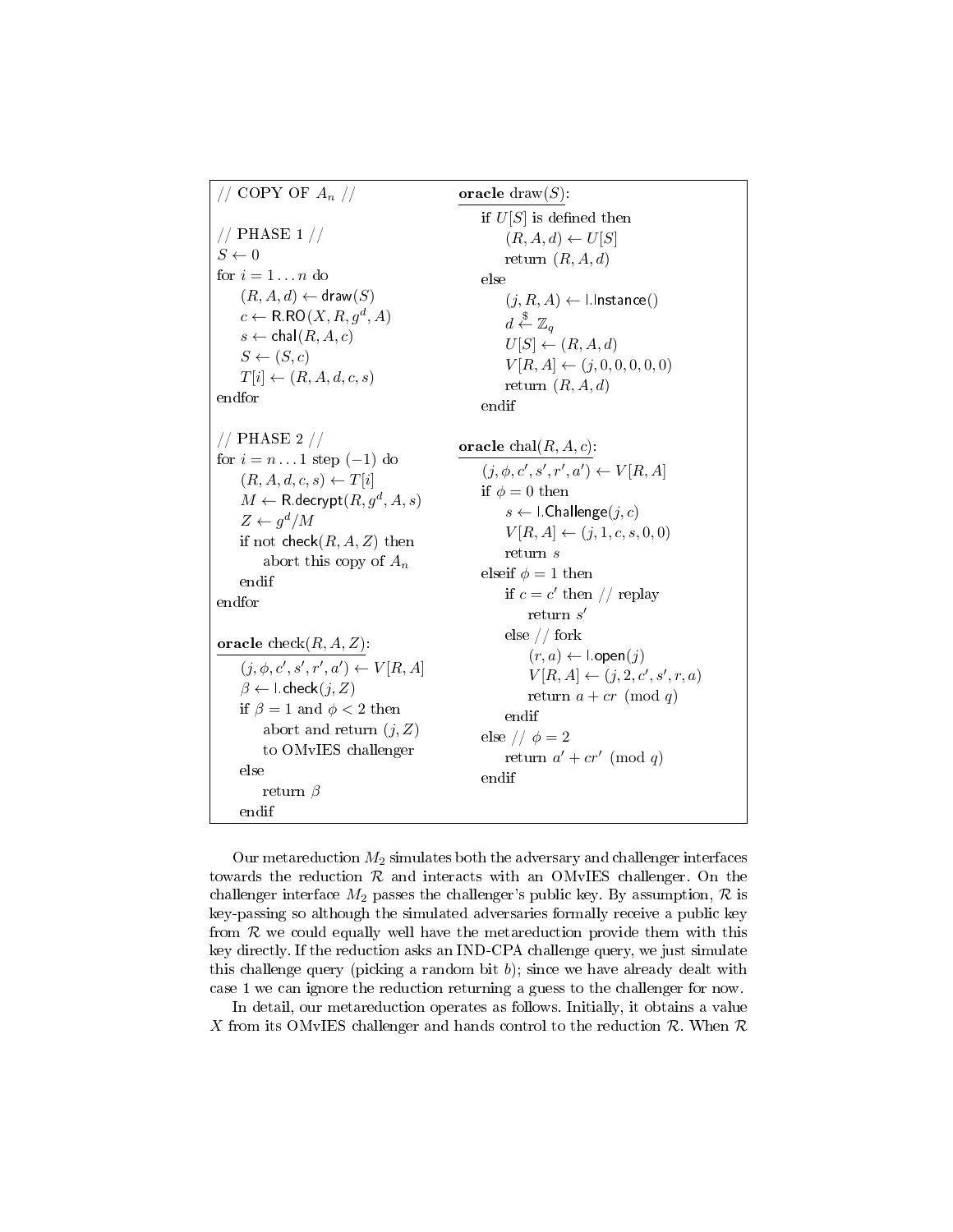COPY OF  $A_n$  // // PHASE 1 //  $S \leftarrow 0$ for  $i = 1 \ldots n$  do  $(R, A, d) \leftarrow$  draw $(S)$  $c \leftarrow \mathsf{R}\;\mathsf{RO}(X,R,g^d,A)$  $s \leftarrow \text{chal}(R, A, c)$  $S \leftarrow (S, c)$  $T[i] \leftarrow (R, A, d, c, s)$ endfor // PHASE 2 // for  $i = n \dots 1$  step  $(-1)$  do  $(R, A, d, c, s) \leftarrow T[i]$  $M \leftarrow \mathsf{R}$ . decrypt $(R, g^d, A, s)$  $Z \leftarrow g^d/M$ if not check $(R, A, Z)$  then abort this copy of  $A_n$ endif endfor oracle check $(R, A, Z)$ :  $(j, \phi, c', s', r', a') \leftarrow V[R, A]$  $\beta \leftarrow L$ check $(j, Z)$ if  $\beta = 1$  and  $\phi < 2$  then abort and return  $(i, Z)$ to OMvIES challenger else return  $\beta$ endif oracle draw $(S)$ : if  $U[S]$  is defined then  $(R, A, d) \leftarrow U[S]$ return  $(R, A, d)$ else  $(j, R, A) \leftarrow$  I.lnstance()  $d\stackrel{\$}{\leftarrow}\mathbb{Z}_q$  $U[S] \leftarrow (R, A, d)$  $V[R, A] \leftarrow (j, 0, 0, 0, 0, 0)$ return  $(R, A, d)$ endif oracle  $\text{chal}(R, A, c)$ :  $(j, \phi, c', s', r', a') \leftarrow V[R, A]$ if  $\phi = 0$  then  $s \leftarrow$  I. Challenge $(j, c)$  $V[R, A] \leftarrow (j, 1, c, s, 0, 0)$ return s elseif  $\phi = 1$  then if  $c = c'$  then // replay return  $s'$ else // fork  $(r, a) \leftarrow$  I.open $(j)$  $V[R, A] \leftarrow (j, 2, c', s', r, a)$ return  $a + cr \pmod{q}$ endif else //  $\phi = 2$ return  $a' + cr' \pmod{q}$ endif

Our metareduction  $M_2$  simulates both the adversary and challenger interfaces towards the reduction  $\mathcal R$  and interacts with an OMvIES challenger. On the challenger interface  $M_2$  passes the challenger's public key. By assumption,  $\mathcal R$  is key-passing so although the simulated adversaries formally receive a public key from  $R$  we could equally well have the metareduction provide them with this key directly. If the reduction asks an IND-CPA challenge query, we just simulate this challenge query (picking a random bit  $b$ ); since we have already dealt with case 1 we can ignore the reduction returning a guess to the challenger for now.

In detail, our metareduction operates as follows. Initially, it obtains a value X from its OMvIES challenger and hands control to the reduction  $\mathcal{R}$ . When  $\mathcal{R}$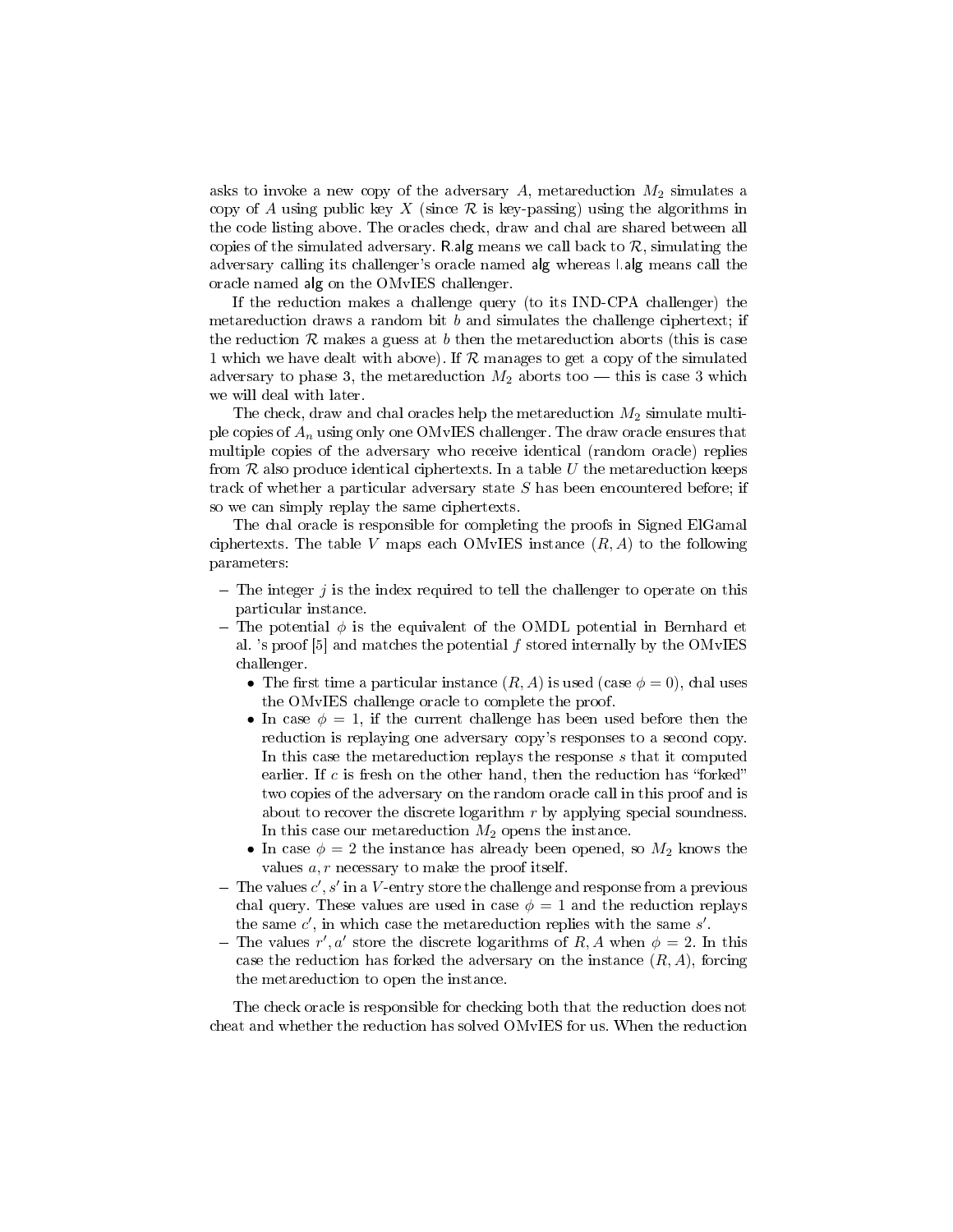asks to invoke a new copy of the adversary  $A$ , metareduction  $M_2$  simulates a copy of A using public key X (since  $\mathcal R$  is key-passing) using the algorithms in the code listing above. The oracles check, draw and chal are shared between all copies of the simulated adversary. R.alg means we call back to  $\mathcal{R}$ , simulating the adversary calling its challenger's oracle named alg whereas I.alg means call the oracle named alg on the OMvIES challenger.

If the reduction makes a challenge query (to its IND-CPA challenger) the metareduction draws a random bit  $b$  and simulates the challenge ciphertext; if the reduction  $R$  makes a guess at b then the metareduction aborts (this is case 1 which we have dealt with above). If  $R$  manages to get a copy of the simulated adversary to phase 3, the metareduction  $M_2$  aborts too — this is case 3 which we will deal with later.

The check, draw and chal oracles help the metareduction  $M_2$  simulate multiple copies of  $A_n$  using only one OMvIES challenger. The draw oracle ensures that multiple copies of the adversary who receive identical (random oracle) replies from  $R$  also produce identical ciphertexts. In a table  $U$  the metareduction keeps track of whether a particular adversary state  $S$  has been encountered before; if so we can simply replay the same ciphertexts.

The chal oracle is responsible for completing the proofs in Signed ElGamal ciphertexts. The table V maps each OMvIES instance  $(R, A)$  to the following parameters:

- $-$  The integer j is the index required to tell the challenger to operate on this particular instance.
- $-$  The potential  $\phi$  is the equivalent of the OMDL potential in Bernhard et al. 's proof  $[5]$  and matches the potential f stored internally by the OMvIES challenger.
	- The first time a particular instance  $(R, A)$  is used (case  $\phi = 0$ ), chal uses the OMvIES challenge oracle to complete the proof.
	- In case  $\phi = 1$ , if the current challenge has been used before then the reduction is replaying one adversary copy's responses to a second copy. In this case the metareduction replays the response s that it computed earlier. If c is fresh on the other hand, then the reduction has "forked" two copies of the adversary on the random oracle call in this proof and is about to recover the discrete logarithm  $r$  by applying special soundness. In this case our metareduction  $M_2$  opens the instance.
	- In case  $\phi = 2$  the instance has already been opened, so  $M_2$  knows the values  $a, r$  necessary to make the proof itself.
- $-$  The values  $c', s'$  in a V-entry store the challenge and response from a previous chal query. These values are used in case  $\phi = 1$  and the reduction replays the same  $c'$ , in which case the metareduction replies with the same  $s'$ .
- The values r', a' store the discrete logarithms of R, A when  $\phi = 2$ . In this case the reduction has forked the adversary on the instance  $(R, A)$ , forcing the metareduction to open the instance.

The check oracle is responsible for checking both that the reduction does not cheat and whether the reduction has solved OMvIES for us. When the reduction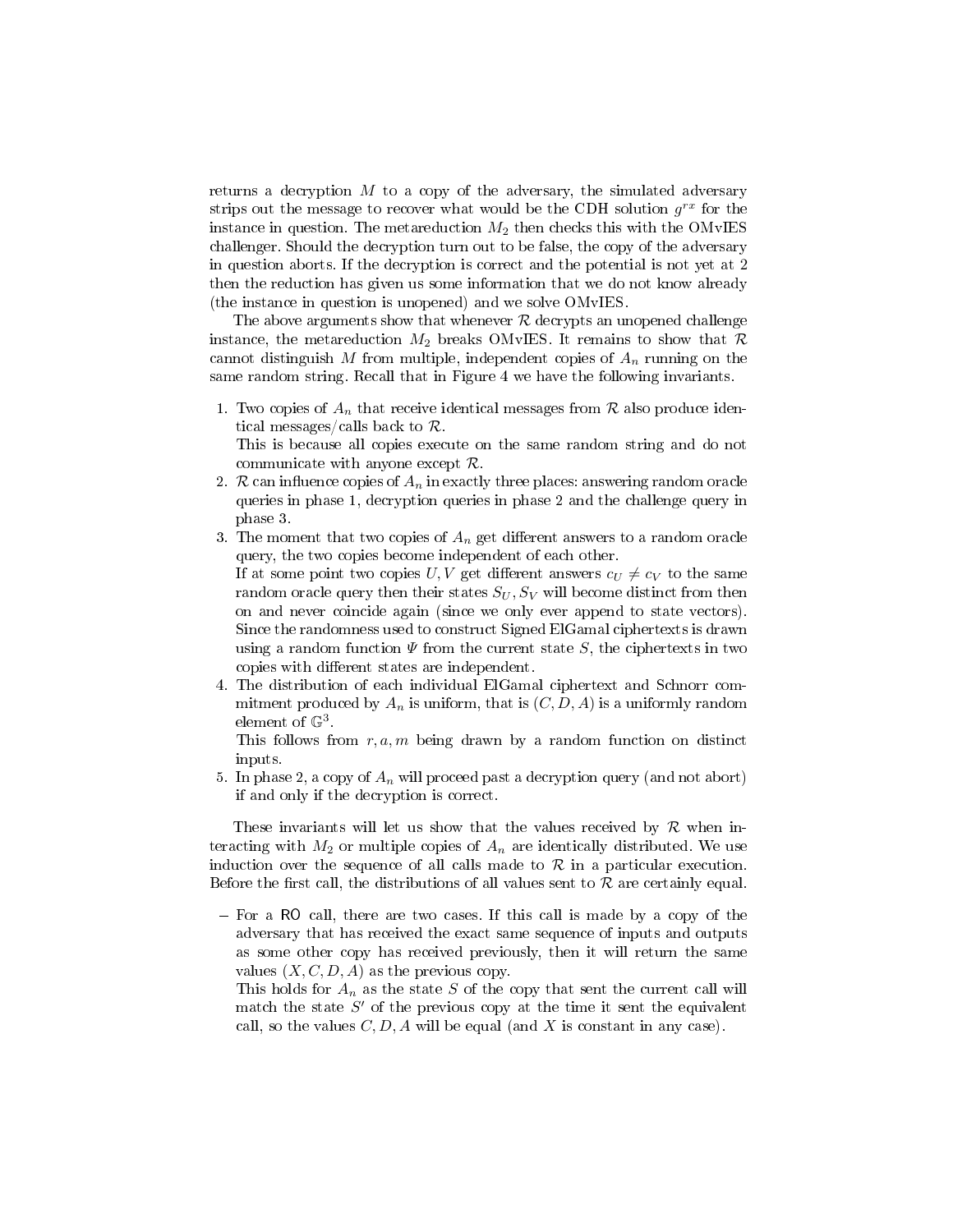returns a decryption  $M$  to a copy of the adversary, the simulated adversary strips out the message to recover what would be the CDH solution  $g^{rx}$  for the instance in question. The metareduction  $M_2$  then checks this with the OMvIES challenger. Should the decryption turn out to be false, the copy of the adversary in question aborts. If the decryption is correct and the potential is not yet at 2 then the reduction has given us some information that we do not know already (the instance in question is unopened) and we solve OMvIES.

The above arguments show that whenever  $\mathcal R$  decrypts an unopened challenge instance, the metareduction  $M_2$  breaks OMvIES. It remains to show that R cannot distinguish M from multiple, independent copies of  $A_n$  running on the same random string. Recall that in Figure [4](#page-14-0) we have the following invariants.

1. Two copies of  $A_n$  that receive identical messages from  $\mathcal R$  also produce identical messages/calls back to  $\mathcal{R}$ .

This is because all copies execute on the same random string and do not communicate with anyone except  $\mathcal{R}$ .

- 2. R can influence copies of  $A_n$  in exactly three places: answering random oracle queries in phase 1, decryption queries in phase 2 and the challenge query in phase 3.
- 3. The moment that two copies of  $A_n$  get different answers to a random oracle query, the two copies become independent of each other. If at some point two copies U, V get different answers  $c_U \neq c_V$  to the same random oracle query then their states  $S_U, S_V$  will become distinct from then on and never coincide again (since we only ever append to state vectors). Since the randomness used to construct Signed ElGamal ciphertexts is drawn using a random function  $\Psi$  from the current state S, the ciphertexts in two copies with different states are independent.
- 4. The distribution of each individual ElGamal ciphertext and Schnorr commitment produced by  $A_n$  is uniform, that is  $(C, D, A)$  is a uniformly random element of  $\mathbb{G}^3$ .

This follows from  $r, a, m$  being drawn by a random function on distinct inputs.

5. In phase 2, a copy of  $A_n$  will proceed past a decryption query (and not abort) if and only if the decryption is correct.

These invariants will let us show that the values received by  $\mathcal R$  when interacting with  $M_2$  or multiple copies of  $A_n$  are identically distributed. We use induction over the sequence of all calls made to  $\mathcal R$  in a particular execution. Before the first call, the distributions of all values sent to  $R$  are certainly equal.

- For a RO call, there are two cases. If this call is made by a copy of the adversary that has received the exact same sequence of inputs and outputs as some other copy has received previously, then it will return the same values  $(X, C, D, A)$  as the previous copy.

This holds for  $A_n$  as the state S of the copy that sent the current call will match the state  $S'$  of the previous copy at the time it sent the equivalent call, so the values  $C, D, A$  will be equal (and X is constant in any case).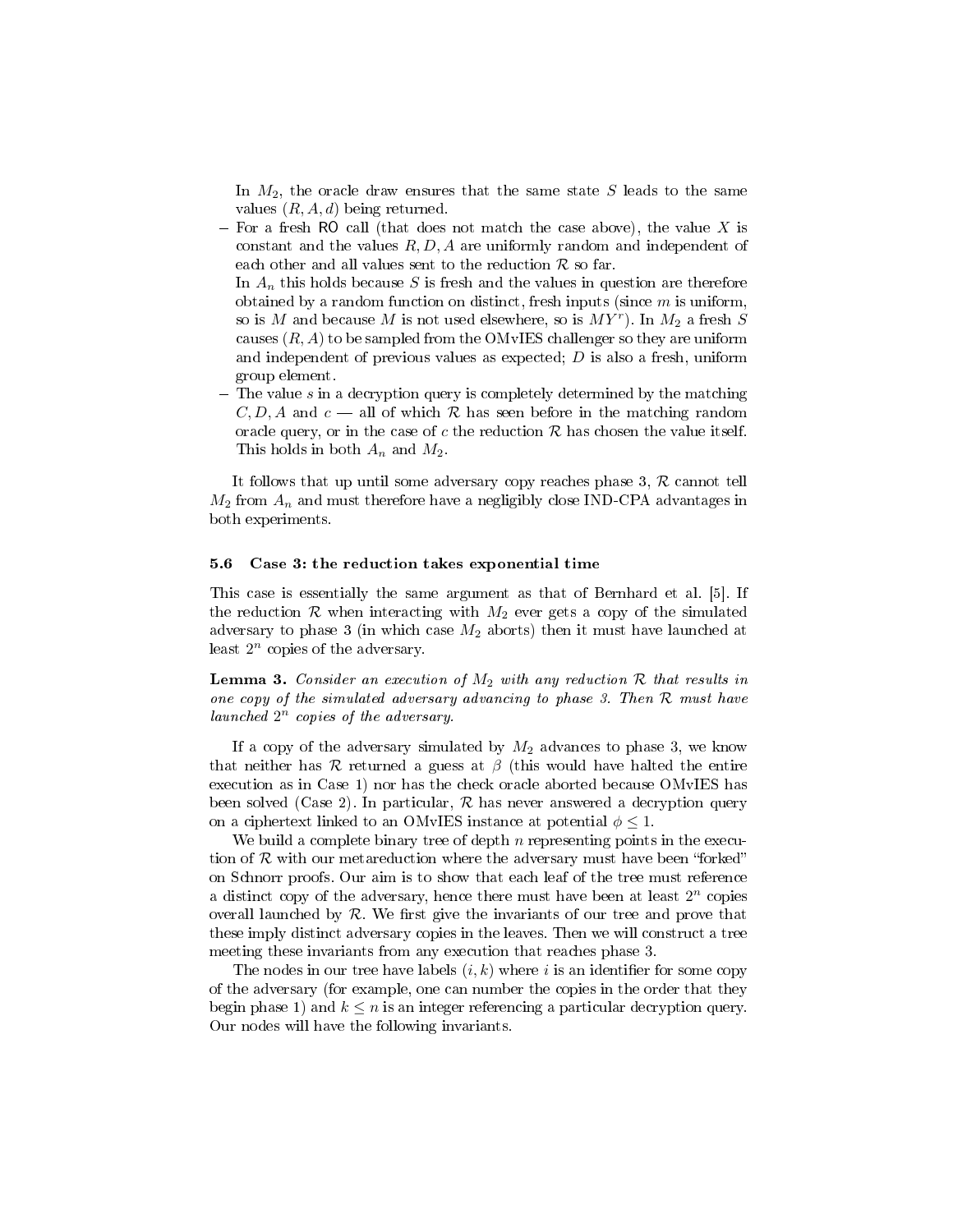In  $M_2$ , the oracle draw ensures that the same state S leads to the same values  $(R, A, d)$  being returned.

 $-$  For a fresh RO call (that does not match the case above), the value X is constant and the values  $R, D, A$  are uniformly random and independent of each other and all values sent to the reduction  $\mathcal R$  so far.

In  $A_n$  this holds because S is fresh and the values in question are therefore obtained by a random function on distinct, fresh inputs (since  $m$  is uniform, so is  $M$  and because  $M$  is not used elsewhere, so is  $MY^r$ ). In  $M_2$  a fresh  $S$ causes  $(R, A)$  to be sampled from the OMvIES challenger so they are uniform and independent of previous values as expected;  $D$  is also a fresh, uniform group element.

 $-$  The value s in a decryption query is completely determined by the matching  $C, D, A$  and  $c \longrightarrow$  all of which R has seen before in the matching random oracle query, or in the case of c the reduction  $R$  has chosen the value itself. This holds in both  $A_n$  and  $M_2$ .

It follows that up until some adversary copy reaches phase 3,  $R$  cannot tell  $M_2$  from  $A_n$  and must therefore have a negligibly close IND-CPA advantages in both experiments.

#### 5.6 Case 3: the reduction takes exponential time

This case is essentially the same argument as that of Bernhard et al. [\[5\]](#page-22-5). If the reduction  $\mathcal R$  when interacting with  $M_2$  ever gets a copy of the simulated adversary to phase 3 (in which case  $M_2$  aborts) then it must have launched at least  $2^n$  copies of the adversary.

**Lemma 3.** Consider an execution of  $M_2$  with any reduction R that results in one copy of the simulated adversary advancing to phase 3. Then  $R$  must have  $\lambda$  launched  $2^n$  copies of the adversary.

If a copy of the adversary simulated by  $M_2$  advances to phase 3, we know that neither has  $R$  returned a guess at  $\beta$  (this would have halted the entire execution as in Case 1) nor has the check oracle aborted because OMvIES has been solved (Case 2). In particular,  $R$  has never answered a decryption query on a ciphertext linked to an OMvIES instance at potential  $\phi \leq 1$ .

We build a complete binary tree of depth  $n$  representing points in the execution of  $\mathcal R$  with our metareduction where the adversary must have been "forked" on Schnorr proofs. Our aim is to show that each leaf of the tree must reference a distinct copy of the adversary, hence there must have been at least  $2<sup>n</sup>$  copies overall launched by  $R$ . We first give the invariants of our tree and prove that these imply distinct adversary copies in the leaves. Then we will construct a tree meeting these invariants from any execution that reaches phase 3.

The nodes in our tree have labels  $(i, k)$  where i is an identifier for some copy of the adversary (for example, one can number the copies in the order that they begin phase 1) and  $k \leq n$  is an integer referencing a particular decryption query. Our nodes will have the following invariants.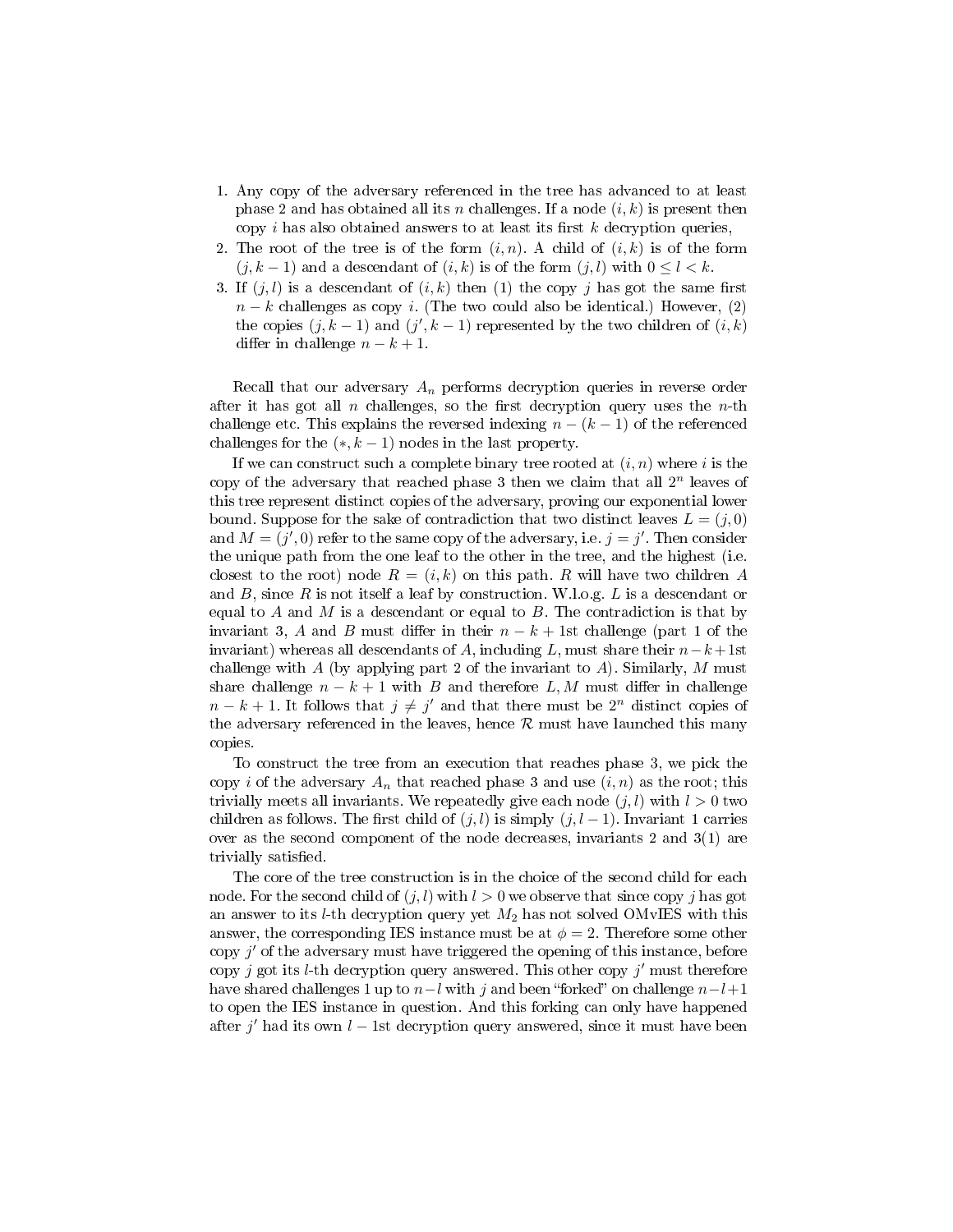- 1. Any copy of the adversary referenced in the tree has advanced to at least phase 2 and has obtained all its n challenges. If a node  $(i, k)$  is present then copy  $i$  has also obtained answers to at least its first  $k$  decryption queries,
- 2. The root of the tree is of the form  $(i, n)$ . A child of  $(i, k)$  is of the form  $(j, k - 1)$  and a descendant of  $(i, k)$  is of the form  $(j, l)$  with  $0 \leq l \leq k$ .
- 3. If  $(j, l)$  is a descendant of  $(i, k)$  then (1) the copy j has got the same first  $n - k$  challenges as copy i. (The two could also be identical.) However, (2) the copies  $(j, k - 1)$  and  $(j', k - 1)$  represented by the two children of  $(i, k)$ differ in challenge  $n - k + 1$ .

Recall that our adversary  $A_n$  performs decryption queries in reverse order after it has got all n challenges, so the first decryption query uses the n-th challenge etc. This explains the reversed indexing  $n - (k - 1)$  of the referenced challenges for the  $(*, k - 1)$  nodes in the last property.

If we can construct such a complete binary tree rooted at  $(i, n)$  where i is the copy of the adversary that reached phase 3 then we claim that all  $2^n$  leaves of this tree represent distinct copies of the adversary, proving our exponential lower bound. Suppose for the sake of contradiction that two distinct leaves  $L = (j, 0)$ and  $M = (j', 0)$  refer to the same copy of the adversary, i.e.  $j = j'$ . Then consider the unique path from the one leaf to the other in the tree, and the highest (i.e. closest to the root) node  $R = (i, k)$  on this path. R will have two children A and  $B$ , since  $R$  is not itself a leaf by construction. W.l.o.g.  $L$  is a descendant or equal to A and M is a descendant or equal to B. The contradiction is that by invariant 3, A and B must differ in their  $n - k + 1$ st challenge (part 1 of the invariant) whereas all descendants of A, including L, must share their  $n-k+1$ st challenge with A (by applying part 2 of the invariant to  $A$ ). Similarly, M must share challenge  $n - k + 1$  with B and therefore L, M must differ in challenge  $n - k + 1$ . It follows that  $j \neq j'$  and that there must be  $2^n$  distinct copies of the adversary referenced in the leaves, hence  $R$  must have launched this many copies.

To construct the tree from an execution that reaches phase 3, we pick the copy i of the adversary  $A_n$  that reached phase 3 and use  $(i, n)$  as the root; this trivially meets all invariants. We repeatedly give each node  $(j, l)$  with  $l > 0$  two children as follows. The first child of  $(j, l)$  is simply  $(j, l - 1)$ . Invariant 1 carries over as the second component of the node decreases, invariants 2 and 3(1) are trivially satisfied.

The core of the tree construction is in the choice of the second child for each node. For the second child of  $(j, l)$  with  $l > 0$  we observe that since copy j has got an answer to its *l*-th decryption query yet  $M_2$  has not solved OMvIES with this answer, the corresponding IES instance must be at  $\phi = 2$ . Therefore some other copy  $j'$  of the adversary must have triggered the opening of this instance, before copy  $j$  got its *l*-th decryption query answered. This other copy  $j'$  must therefore have shared challenges 1 up to  $n-l$  with j and been "forked" on challenge  $n-l+1$ to open the IES instance in question. And this forking can only have happened after j' had its own  $l - 1$ st decryption query answered, since it must have been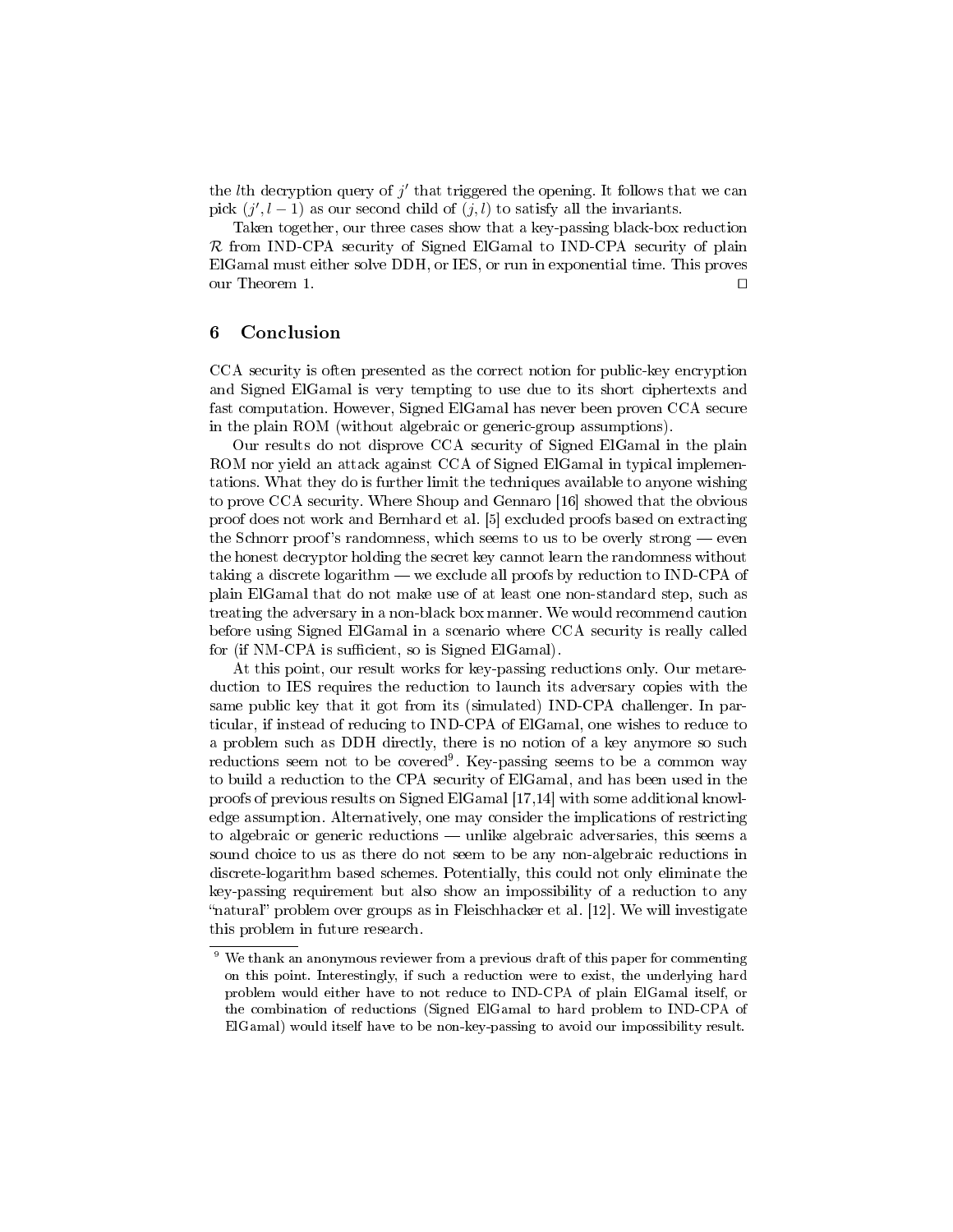the *l*th decryption query of  $j'$  that triggered the opening. It follows that we can pick  $(j', l - 1)$  as our second child of  $(j, l)$  to satisfy all the invariants.

Taken together, our three cases show that a key-passing black-box reduction  $\mathcal R$  from IND-CPA security of Signed ElGamal to IND-CPA security of plain ElGamal must either solve DDH, or IES, or run in exponential time. This proves our Theorem [1.](#page-9-0)  $\Box$ 

# 6 Conclusion

CCA security is often presented as the correct notion for public-key encryption and Signed ElGamal is very tempting to use due to its short ciphertexts and fast computation. However, Signed ElGamal has never been proven CCA secure in the plain ROM (without algebraic or generic-group assumptions).

Our results do not disprove CCA security of Signed ElGamal in the plain ROM nor yield an attack against CCA of Signed ElGamal in typical implementations. What they do is further limit the techniques available to anyone wishing to prove CCA security. Where Shoup and Gennaro [\[16\]](#page-23-0) showed that the obvious proof does not work and Bernhard et al. [\[5\]](#page-22-5) excluded proofs based on extracting the Schnorr proof's randomness, which seems to us to be overly strong  $-$  even the honest decryptor holding the secret key cannot learn the randomness without taking a discrete logarithm — we exclude all proofs by reduction to IND-CPA of plain ElGamal that do not make use of at least one non-standard step, such as treating the adversary in a non-black box manner. We would recommend caution before using Signed ElGamal in a scenario where CCA security is really called for (if NM-CPA is sufficient, so is Signed ElGamal).

At this point, our result works for key-passing reductions only. Our metareduction to IES requires the reduction to launch its adversary copies with the same public key that it got from its (simulated) IND-CPA challenger. In particular, if instead of reducing to IND-CPA of ElGamal, one wishes to reduce to a problem such as DDH directly, there is no notion of a key anymore so such reductions seem not to be covered<sup>[9](#page-21-0)</sup>. Key-passing seems to be a common way to build a reduction to the CPA security of ElGamal, and has been used in the proofs of previous results on Signed ElGamal [\[17,](#page-23-5)[14\]](#page-23-2) with some additional knowledge assumption. Alternatively, one may consider the implications of restricting to algebraic or generic reductions  $-$  unlike algebraic adversaries, this seems a sound choice to us as there do not seem to be any non-algebraic reductions in discrete-logarithm based schemes. Potentially, this could not only eliminate the key-passing requirement but also show an impossibility of a reduction to any "natural" problem over groups as in Fleischhacker et al.  $[12]$ . We will investigate this problem in future research.

<span id="page-21-0"></span> $9\,$  We thank an anonymous reviewer from a previous draft of this paper for commenting on this point. Interestingly, if such a reduction were to exist, the underlying hard problem would either have to not reduce to IND-CPA of plain ElGamal itself, or the combination of reductions (Signed ElGamal to hard problem to IND-CPA of ElGamal) would itself have to be non-key-passing to avoid our impossibility result.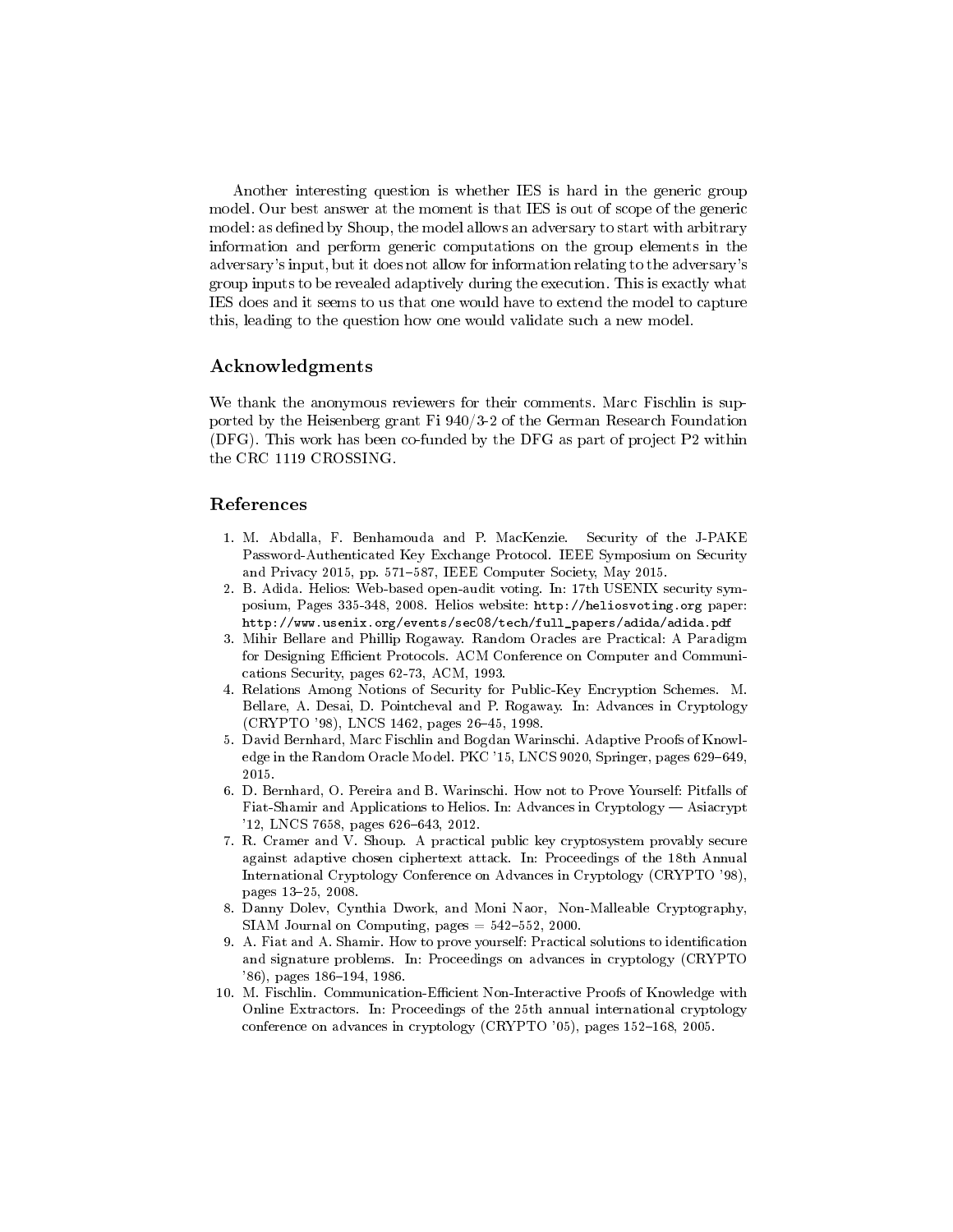Another interesting question is whether IES is hard in the generic group model. Our best answer at the moment is that IES is out of scope of the generic model: as defined by Shoup, the model allows an adversary to start with arbitrary information and perform generic computations on the group elements in the adversary's input, but it does not allow for information relating to the adversary's group inputs to be revealed adaptively during the execution. This is exactly what IES does and it seems to us that one would have to extend the model to capture this, leading to the question how one would validate such a new model.

# Acknowledgments

We thank the anonymous reviewers for their comments. Marc Fischlin is supported by the Heisenberg grant Fi 940/3-2 of the German Research Foundation (DFG). This work has been co-funded by the DFG as part of project P2 within the CRC 1119 CROSSING.

## References

- <span id="page-22-8"></span>1. M. Abdalla, F. Benhamouda and P. MacKenzie. Security of the J-PAKE Password-Authenticated Key Exchange Protocol. IEEE Symposium on Security and Privacy 2015, pp. 571-587, IEEE Computer Society, May 2015.
- <span id="page-22-6"></span>2. B. Adida. Helios: Web-based open-audit voting. In: 17th USENIX security symposium, Pages 335-348, 2008. Helios website: <http://heliosvoting.org> paper: [http://www.usenix.org/events/sec08/tech/full\\_papers/adida/adida.pdf](http://www.usenix.org/events/sec08/tech/full_papers/adida/adida.pdf)
- <span id="page-22-3"></span>3. Mihir Bellare and Phillip Rogaway. Random Oracles are Practical: A Paradigm for Designing Efficient Protocols. ACM Conference on Computer and Communications Security, pages 62-73, ACM, 1993.
- <span id="page-22-4"></span>4. Relations Among Notions of Security for Public-Key Encryption Schemes. M. Bellare, A. Desai, D. Pointcheval and P. Rogaway. In: Advances in Cryptology (CRYPTO '98), LNCS 1462, pages 26-45, 1998.
- <span id="page-22-5"></span>5. David Bernhard, Marc Fischlin and Bogdan Warinschi. Adaptive Proofs of Knowledge in the Random Oracle Model. PKC '15, LNCS 9020, Springer, pages 629-649, 2015.
- <span id="page-22-7"></span>6. D. Bernhard, O. Pereira and B. Warinschi. How not to Prove Yourself: Pitfalls of Fiat-Shamir and Applications to Helios. In: Advances in Cryptology — Asiacrypt '12, LNCS 7658, pages 626-643, 2012.
- <span id="page-22-0"></span>7. R. Cramer and V. Shoup. A practical public key cryptosystem provably secure against adaptive chosen ciphertext attack. In: Proceedings of the 18th Annual International Cryptology Conference on Advances in Cryptology (CRYPTO '98), pages 13-25, 2008.
- <span id="page-22-1"></span>8. Danny Dolev, Cynthia Dwork, and Moni Naor, Non-Malleable Cryptography, SIAM Journal on Computing, pages  $= 542 - 552$ , 2000.
- <span id="page-22-2"></span>9. A. Fiat and A. Shamir. How to prove yourself: Practical solutions to identification and signature problems. In: Proceedings on advances in cryptology (CRYPTO '86), pages 186-194, 1986.
- <span id="page-22-9"></span>10. M. Fischlin. Communication-Efficient Non-Interactive Proofs of Knowledge with Online Extractors. In: Proceedings of the 25th annual international cryptology conference on advances in cryptology (CRYPTO '05), pages 152-168, 2005.